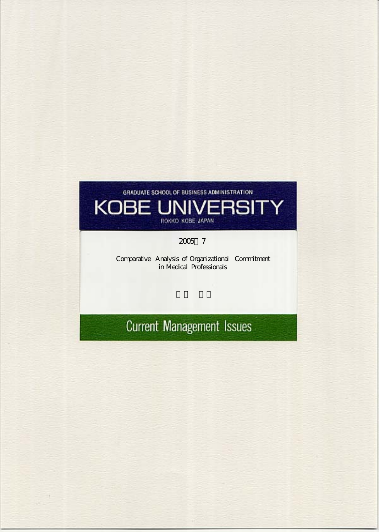# GRADUATE SCHOOL OF BUSINESS ADMINISTRATION **KOBE UNIVERSITY** ROKKO KOBE JAPAN

## 2005 7

Comparative Analysis of Organizational Commitment in Medical Professionals

# **Current Management Issues**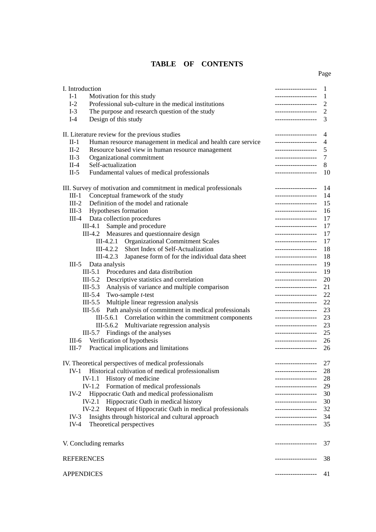## **TABLE OF CONTENTS**

|  |  | Page |
|--|--|------|
|  |  |      |
|  |  |      |

| I. Introduction   |                                                                   | -------------------  | 1    |
|-------------------|-------------------------------------------------------------------|----------------------|------|
| $I-1$             | Motivation for this study                                         | -------------------  | 1    |
| $I-2$             | Professional sub-culture in the medical institutions              | -------------------  | 2    |
| $I-3$             | The purpose and research question of the study                    | -------------------- | 2    |
| $I-4$             | Design of this study                                              | -------------------  | 3    |
|                   | II. Literature review for the previous studies                    | -------------------- | 4    |
| $II-1$            |                                                                   | -------------------  | 4    |
| $II-2$            | Human resource management in medical and health care service      | -------------------  | 5    |
|                   | Resource based view in human resource management                  |                      |      |
| $II-3$            | Organizational commitment                                         | -------------------  | 7    |
| $II-4$            | Self-actualization                                                | -------------------  | 8    |
| $II-5$            | Fundamental values of medical professionals                       | -------------------  | 10   |
|                   | III. Survey of motivation and commitment in medical professionals | -------------------  | - 14 |
| $III-1$           | Conceptual framework of the study                                 | -------------------  | 14   |
| $III-2$           | Definition of the model and rationale                             | -------------------  | 15   |
|                   | III-3 Hypotheses formation                                        | -------------------  | 16   |
|                   | III-4 Data collection procedures                                  | -------------------  | 17   |
|                   | III-4.1 Sample and procedure                                      | -------------------  | 17   |
|                   | III-4.2 Measures and questionnaire design                         | -------------------  | 17   |
|                   | III-4.2.1 Organizational Commitment Scales                        | -------------------  | 17   |
|                   | III-4.2.2 Short Index of Self-Actualization                       | -------------------  | 18   |
|                   | III-4.2.3 Japanese form of for the individual data sheet          | -------------------  | 18   |
| $III-5$           | Data analysis                                                     | -------------------  | 19   |
|                   | III-5.1 Procedures and data distribution                          | -------------------  | 19   |
|                   | III-5.2 Descriptive statistics and correlation                    | -------------------  | 20   |
|                   | III-5.3 Analysis of variance and multiple comparison              | -------------------  | 21   |
|                   | III-5.4 Two-sample $t$ -test                                      | -------------------  | 22   |
|                   | $III-5.5$<br>Multiple linear regression analysis                  | -------------------  | 22   |
|                   | III-5.6 Path analysis of commitment in medical professionals      | -------------------- | 23   |
|                   |                                                                   | -------------------  | 23   |
|                   | III-5.6.1 Correlation within the commitment components            |                      |      |
|                   | III-5.6.2 Multivariate regression analysis                        | -------------------  | 23   |
|                   | III-5.7 Findings of the analyses                                  | -------------------  | 25   |
|                   | III-6 Verification of hypothesis                                  | -------------------  | 26   |
| $III-7$           | Practical implications and limitations                            | -------------------  | 26   |
|                   | IV. Theoretical perspectives of medical professionals             | -------------------- | 27   |
| $IV-1$            | Historical cultivation of medical professionalism                 | -------------------  | 28   |
|                   | History of medicine<br>IV-1.1                                     | -------------------  | 28   |
|                   | IV-1.2 Formation of medical professionals                         | -------------------- | 29   |
| $IV-2$            | Hippocratic Oath and medical professionalism                      | -------------------  | - 30 |
|                   | IV-2.1 Hippocratic Oath in medical history                        | -------------------- | - 30 |
|                   | IV-2.2 Request of Hippocratic Oath in medical professionals       | -------------------  | 32   |
| IV-3              | Insights through historical and cultural approach                 | -------------------  | - 34 |
| $IV-4$            | Theoretical perspectives                                          | -------------------  | 35   |
|                   | V. Concluding remarks                                             | -------------------  | 37   |
| <b>REFERENCES</b> |                                                                   | -------------------  | 38   |
|                   |                                                                   |                      |      |
| <b>APPENDICES</b> |                                                                   | -------------------  | 41   |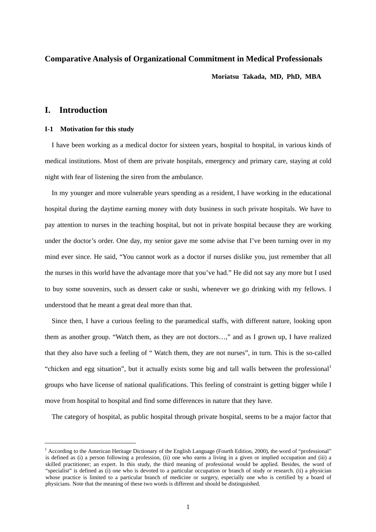## **Comparative Analysis of Organizational Commitment in Medical Professionals**

**Moriatsu Takada, MD, PhD, MBA** 

## **I. Introduction**

 $\overline{a}$ 

## **I-1****Motivation for this study**

I have been working as a medical doctor for sixteen years, hospital to hospital, in various kinds of medical institutions. Most of them are private hospitals, emergency and primary care, staying at cold night with fear of listening the siren from the ambulance.

In my younger and more vulnerable years spending as a resident, I have working in the educational hospital during the daytime earning money with duty business in such private hospitals. We have to pay attention to nurses in the teaching hospital, but not in private hospital because they are working under the doctor's order. One day, my senior gave me some advise that I've been turning over in my mind ever since. He said, "You cannot work as a doctor if nurses dislike you, just remember that all the nurses in this world have the advantage more that you've had." He did not say any more but I used to buy some souvenirs, such as dessert cake or sushi, whenever we go drinking with my fellows. I understood that he meant a great deal more than that.

Since then, I have a curious feeling to the paramedical staffs, with different nature, looking upon them as another group. "Watch them, as they are not doctors…," and as I grown up, I have realized that they also have such a feeling of " Watch them, they are not nurses", in turn. This is the so-called "chicken and egg situation", but it actually exists some big and tall walls between the professional<sup>[1](#page-2-0)</sup> groups who have license of national qualifications. This feeling of constraint is getting bigger while I move from hospital to hospital and find some differences in nature that they have.

The category of hospital, as public hospital through private hospital, seems to be a major factor that

<span id="page-2-0"></span><sup>&</sup>lt;sup>1</sup> According to the American Heritage Dictionary of the English Language (Fourth Edition, 2000), the word of "professional" is defined as (i) a person following a profession, (ii) one who earns a living in a given or implied occupation and (iii) a skilled practitioner; an expert. In this study, the third meaning of professional would be applied. Besides, the word of "specialist" is defined as (i) one who is devoted to a particular occupation or branch of study or research. (ii) a physician whose practice is limited to a particular branch of medicine or surgery, especially one who is certified by a board of physicians. Note that the meaning of these two words is different and should be distinguished.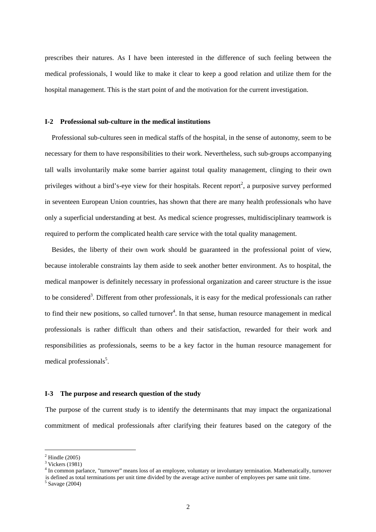prescribes their natures. As I have been interested in the difference of such feeling between the medical professionals, I would like to make it clear to keep a good relation and utilize them for the hospital management. This is the start point of and the motivation for the current investigation.

#### **I-2****Professional sub-culture in the medical institutions**

Professional sub-cultures seen in medical staffs of the hospital, in the sense of autonomy, seem to be necessary for them to have responsibilities to their work. Nevertheless, such sub-groups accompanying tall walls involuntarily make some barrier against total quality management, clinging to their own privileges without a bird's-eye view for their hospitals. Recent report<sup>2</sup>[,](#page-3-0) a purposive survey performed in seventeen European Union countries, has shown that there are many health professionals who have only a superficial understanding at best. As medical science progresses, multidisciplinary teamwork is required to perform the complicated health care service with the total quality management.

Besides, the liberty of their own work should be guaranteed in the professional point of view, because intolerable constraints lay them aside to seek another better environment. As to hospital, the medical manpower is definitely necessary in professional organization and career structure is the issue to be considered<sup>[3](#page-3-1)</sup>. Different from other professionals, it is easy for the medical professionals can rather to find their new positions, so called turnover<sup>4</sup>[.](#page-3-2) In that sense, human resource management in medical professionals is rather difficult than others and their satisfaction, rewarded for their work and responsibilities as professionals, seems to be a key factor in the human resource management for medical professionals<sup>[5](#page-3-3)</sup>.

#### **I-3 The purpose and research question of the study**

The purpose of the current study is to identify the determinants that may impact the organizational commitment of medical professionals after clarifying their features based on the category of the

<span id="page-3-1"></span><span id="page-3-0"></span> $2$  Hindle (2005)

<span id="page-3-2"></span> $\frac{3}{4}$  Vickers (1981)

In common parlance, "turnover" means loss of an employee, voluntary or involuntary termination. Mathematically, turnover is defined as total terminations per unit time divided by the average active number of employees per same unit time.<br>  $5$  Savage (2004)

<span id="page-3-3"></span>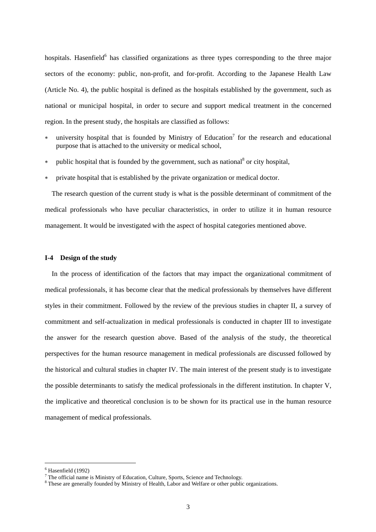hospitals.Hasenfield<sup>6</sup> has classified organizations as three types corresponding to the three major sectors of the economy: public, non-profit, and for-profit. According to the Japanese Health Law (Article No. 4), the public hospital is defined as the hospitals established by the government, such as national or municipal hospital, in order to secure and support medical treatment in the concerned region. In the present study, the hospitals are classified as follows:

- ∗ university hospital that is founded by Ministry of Education[7](#page-4-1) for the research and educational purpose that is attached to the university or medical school,
- ∗ public hospital that is founded by the government, such as national<sup>8</sup> or city hospital,
- private hospital that is established by the private organization or medical doctor.

The research question of the current study is what is the possible determinant of commitment of the medical professionals who have peculiar characteristics, in order to utilize it in human resource management. It would be investigated with the aspect of hospital categories mentioned above.

#### **I-4 Design of the study**

In the process of identification of the factors that may impact the organizational commitment of medical professionals, it has become clear that the medical professionals by themselves have different styles in their commitment. Followed by the review of the previous studies in chapter II, a survey of commitment and self-actualization in medical professionals is conducted in chapter III to investigate the answer for the research question above. Based of the analysis of the study, the theoretical perspectives for the human resource management in medical professionals are discussed followed by the historical and cultural studies in chapter IV. The main interest of the present study is to investigate the possible determinants to satisfy the medical professionals in the different institution. In chapter V, the implicative and theoretical conclusion is to be shown for its practical use in the human resource management of medical professionals.

<span id="page-4-0"></span><sup>6</sup> Hasenfield (1992)

<span id="page-4-2"></span><span id="page-4-1"></span>

<sup>&</sup>lt;sup>7</sup> The official name is Ministry of Education, Culture, Sports, Science and Technology.<br><sup>8</sup> These are generally founded by Ministry of Health, Labor and Welfare or other public organizations.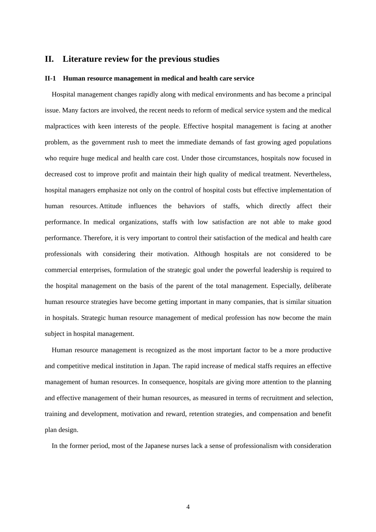## **II. Literature review for the previous studies**

#### **II-1 Human resource management in medical and health care service**

Hospital management changes rapidly along with medical environments and has become a principal issue. Many factors are involved, the recent needs to reform of medical service system and the medical malpractices with keen interests of the people. Effective hospital management is facing at another problem, as the government rush to meet the immediate demands of fast growing aged populations who require huge medical and health care cost. Under those circumstances, hospitals now focused in decreased cost to improve profit and maintain their high quality of medical treatment. Nevertheless, hospital managers emphasize not only on the control of hospital costs but effective implementation of human resources. Attitude influences the behaviors of staffs, which directly affect their performance. In medical organizations, staffs with low satisfaction are not able to make good performance. Therefore, it is very important to control their satisfaction of the medical and health care professionals with considering their motivation. Although hospitals are not considered to be commercial enterprises, formulation of the strategic goal under the powerful leadership is required to the hospital management on the basis of the parent of the total management. Especially, deliberate human resource strategies have become getting important in many companies, that is similar situation in hospitals. Strategic human resource management of medical profession has now become the main subject in hospital management.

Human resource management is recognized as the most important factor to be a more productive and competitive medical institution in Japan. The rapid increase of medical staffs requires an effective management of human resources. In consequence, hospitals are giving more attention to the planning and effective management of their human resources, as measured in terms of recruitment and selection, training and development, motivation and reward, retention strategies, and compensation and benefit plan design.

In the former period, most of the Japanese nurses lack a sense of professionalism with consideration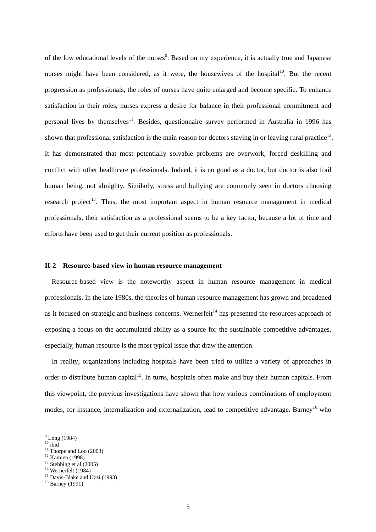of the low educational levels of the nurses<sup>9</sup>[.](#page-6-0) Based on my experience, it is actually true and Japanese nurses might have been considered, as it were, the housewives of the hospital $10^{\circ}$ . But the recent progression as professionals, the roles of nurses have quite enlarged and become specific. To enhance satisfaction in their roles, nurses express a desire for balance in their professional commitment and personal lives by themselves<sup>11</sup>. Besides, questionnaire survey performed in Australia in 1996 has shown that professional satisfaction is the main reason for doctors staying in or leaving rural practice<sup>12</sup>. It has demonstrated that most potentially solvable problems are overwork, forced deskilling and conflict with other healthcare professionals. Indeed, it is no good as a doctor, but doctor is also frail human being, not almighty. Similarly, stress and bullying are commonly seen in doctors choosing research project<sup>13</sup>. Thus, the most important aspect in human resource management in medical professionals, their satisfaction as a professional seems to be a key factor, because a lot of time and efforts have been used to get their current position as professionals.

#### **II-2 Resource-based view in human resource management**

Resource-based view is the noteworthy aspect in human resource management in medical professionals. In the late 1980s, the theories of human resource management has grown and broadened as it focused on strategic and business concerns. Wernerfelt<sup>14</sup> has presented the resources approach of exposing a focus on the accumulated ability as a source for the sustainable competitive advantages, especially, human resource is the most typical issue that draw the attention.

In reality, organizations including hospitals have been tried to utilize a variety of approaches in order to distribute human capital<sup>15</sup>. In turns, hospitals often make and buy their human capitals. From this viewpoint, the previous investigations have shown that how various combinations of employment modes, for instance, internalization and externalization, lead to competitive advantage. Barney<sup>16</sup> who

<span id="page-6-1"></span> $^{\rm 10}$ ibid

<span id="page-6-0"></span> $9^9$  Long (1984)

<span id="page-6-2"></span><sup>&</sup>lt;sup>11</sup> Thorpe and Loo (2003)<br><sup>12</sup> Kamien (1998)<br><sup>13</sup> Stebbing et al (2005)

<span id="page-6-3"></span>

<span id="page-6-4"></span>

<span id="page-6-6"></span><span id="page-6-5"></span>

<sup>&</sup>lt;sup>14</sup> Wernerfelt (1984)<br><sup>15</sup> Davis-Blake and Uzzi (1993)

<span id="page-6-7"></span> $16$  Barney (1991)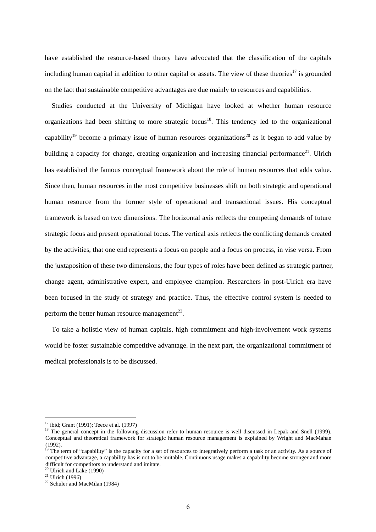have established the resource-based theory have advocated that the classification of the capitals including human capital in addition to other capital or assets. The view of these theories $17$  is grounded on the fact that sustainable competitive advantages are due mainly to resources and capabilities.

Studies conducted at the University of Michigan have looked at whether human resource organizations had been shifting to more strategic focus<sup>18</sup>. This tendency led to the organizational capability<sup>19</sup> become a primary issue of human resources organizations<sup>20</sup> as it began to add value by building a capacity for change, creating organization and increasing financial performance<sup>21</sup>. Ulrich has established the famous conceptual framework about the role of human resources that adds value. Since then, human resources in the most competitive businesses shift on both strategic and operational human resource from the former style of operational and transactional issues. His conceptual framework is based on two dimensions. The horizontal axis reflects the competing demands of future strategic focus and present operational focus. The vertical axis reflects the conflicting demands created by the activities, that one end represents a focus on people and a focus on process, in vise versa. From the juxtaposition of these two dimensions, the four types of roles have been defined as strategic partner, change agent, administrative expert, and employee champion. Researchers in post-Ulrich era have been focused in the study of strategy and practice. Thus, the effective control system is needed to perform the better human resource management<sup>22</sup>.

To take a holistic view of human capitals, high commitment and high-involvement work systems would be foster sustainable competitive advantage. In the next part, the organizational commitment of medical professionals is to be discussed.

<span id="page-7-1"></span><span id="page-7-0"></span>

<sup>&</sup>lt;sup>17</sup> ibid; Grant (1991); Teece et al. (1997)<br><sup>18</sup> The general concept in the following discussion refer to human resource is well discussed in Lepak and Snell (1999). Conceptual and theoretical framework for strategic human resource management is explained by Wright and MacMahan (1992).

<span id="page-7-2"></span><sup>&</sup>lt;sup>19</sup> The term of "capability" is the capacity for a set of resources to integratively perform a task or an activity. As a source of competitive advantage, a capability has is not to be imitable. Continuous usage makes a capability become stronger and more difficult for competitors to understand and imitate.<br><sup>20</sup> Ulrich and Lake (1990)

<span id="page-7-4"></span><span id="page-7-3"></span>

 $21$  Ulrich (1996)

<span id="page-7-5"></span><sup>&</sup>lt;sup>22</sup> Schuler and MacMilan (1984)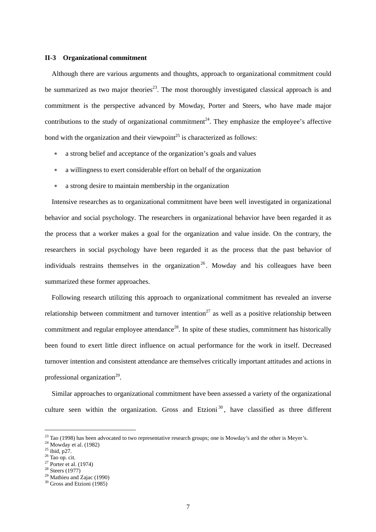#### **II-3 Organizational commitment**

Although there are various arguments and thoughts, approach to organizational commitment could be summarized as two major theories<sup>23</sup>. The most thoroughly investigated classical approach is and commitment is the perspective advanced by Mowday, Porter and Steers, who have made major contributions to the study of organizational commitment<sup>24</sup>. They emphasize the employee's affective bond with the organization and their viewpoint<sup>25</sup> is characterized as follows:

- a strong belief and acceptance of the organization's goals and values
- ∗ a willingness to exert considerable effort on behalf of the organization
- ∗ a strong desire to maintain membership in the organization

Intensive researches as to organizational commitment have been well investigated in organizational behavior and social psychology. The researchers in organizational behavior have been regarded it as the process that a worker makes a goal for the organization and value inside. On the contrary, the researchers in social psychology have been regarded it as the process that the past behavior of individuals restrains themselves in the organization<sup>[26](#page-8-3)</sup>. Mowday and his colleagues have been summarized these former approaches.

Following research utilizing this approach to organizational commitment has revealed an inverse relationship between commitment and turnover intention<sup>27</sup> as well as a positive relationship between commitment and regular employee attendance<sup>28</sup>. In spite of these studies, commitment has historically been found to exert little direct influence on actual performance for the work in itself. Decreased turnover intention and consistent attendance are themselves critically important attitudes and actions in professional organization<sup>29</sup>.

Similar approaches to organizational commitment have been assessed a variety of the organizational culture seen within the organization. Gross and Etzioni<sup>[30](#page-8-7)</sup>, have classified as three different

<span id="page-8-0"></span><sup>&</sup>lt;sup>23</sup> Tao (1998) has been advocated to two representative research groups; one is Mowday's and the other is Meyer's. <sup>24</sup> Mowday et al. (1982) <sup>25</sup> ibid, p27. <sup>26</sup> Tao on. cit.

<span id="page-8-1"></span>

<span id="page-8-2"></span>

<span id="page-8-3"></span>

<span id="page-8-4"></span> $27$  Porter et al. (1974)

<span id="page-8-5"></span> $28$  Steers (1977)

<span id="page-8-6"></span> $29$  Mathieu and Zajac (1990)

<span id="page-8-7"></span> $30$  Gross and Etzioni (1985)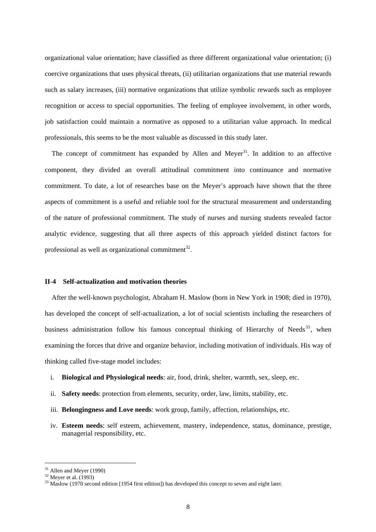organizational value orientation; have classified as three different organizational value orientation; (i) coercive organizations that uses physical threats, (ii) utilitarian organizations that use material rewards such as salary increases, (iii) normative organizations that utilize symbolic rewards such as employee recognition or access to special opportunities. The feeling of employee involvement, in other words, job satisfaction could maintain a normative as opposed to a utilitarian value approach. In medical professionals, this seems to be the most valuable as discussed in this study later.

The concept of commitment has expanded by Allen and Meyer<sup>31</sup>. In addition to an affective component, they divided an overall attitudinal commitment into continuance and normative commitment. To date, a lot of researches base on the Meyer's approach have shown that the three aspects of commitment is a useful and reliable tool for the structural measurement and understanding of the nature of professional commitment. The study of nurses and nursing students revealed factor analytic evidence, suggesting that all three aspects of this approach yielded distinct factors for professional as well as organizational commitment<sup>32</sup>.

#### **II-4 Self-actualization and motivation theories**

After the well-known psychologist, Abraham H. Maslow (born in New York in 1908; died in 1970), has developed the concept of self-actualization, a lot of social scientists including the researchers of business administration follow his famous conceptual thinking of Hierarchy of Needs<sup>33</sup>, when examining the forces that drive and organize behavior, including motivation of individuals. His way of thinking called five-stage model includes:

- i. **Biological and Physiological needs**: air, food, drink, shelter, warmth, sex, sleep, etc.
- ii. **Safety needs**: protection from elements, security, order, law, limits, stability, etc.
- iii. **Belongingness and Love needs**: work group, family, affection, relationships, etc.
- iv. **Esteem needs**: self esteem, achievement, mastery, independence, status, dominance, prestige, managerial responsibility, etc.

<span id="page-9-0"></span>

<span id="page-9-2"></span><span id="page-9-1"></span>

<sup>&</sup>lt;sup>31</sup> Allen and Meyer (1990)<br><sup>32</sup> Meyer et al. (1993)<br><sup>33</sup> Maslow (1970 second edition [1954 first edition]) has developed this concept to seven and eight later.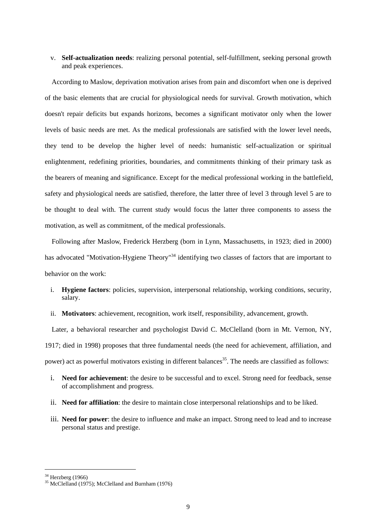v. **Self-actualization needs**: realizing personal potential, self-fulfillment, seeking personal growth and peak experiences.

According to Maslow, deprivation motivation arises from pain and discomfort when one is deprived of the basic elements that are crucial for physiological needs for survival. Growth motivation, which doesn't repair deficits but expands horizons, becomes a significant motivator only when the lower levels of basic needs are met. As the medical professionals are satisfied with the lower level needs, they tend to be develop the higher level of needs: humanistic self-actualization or spiritual enlightenment, redefining priorities, boundaries, and commitments thinking of their primary task as the bearers of meaning and significance. Except for the medical professional working in the battlefield, safety and physiological needs are satisfied, therefore, the latter three of level 3 through level 5 are to be thought to deal with. The current study would focus the latter three components to assess the motivation, as well as commitment, of the medical professionals.

Following after Maslow, Frederick Herzberg (born in Lynn, Massachusetts, in 1923; died in 2000) has advocated "Motivation-Hygiene Theory"<sup>34</sup> identifying two classes of factors that are important to behavior on the work:

- i. **Hygiene factors**: policies, supervision, interpersonal relationship, working conditions, security, salary.
- ii. **Motivators**: achievement, recognition, work itself, responsibility, advancement, growth.

Later, a behavioral researcher and psychologist David C. McClelland (born in Mt. Vernon, NY, 1917; died in 1998) proposes that three fundamental needs (the need for achievement, affiliation, and power) act as powerful motivators existing in different balances<sup>35</sup>. The needs are classified as follows:

- i. **Need for achievement**: the desire to be successful and to excel. Strong need for feedback, sense of accomplishment and progress.
- ii. **Need for affiliation**: the desire to maintain close interpersonal relationships and to be liked.
- iii. **Need for power**: the desire to influence and make an impact. Strong need to lead and to increase personal status and prestige.

<span id="page-10-1"></span><span id="page-10-0"></span>

<sup>&</sup>lt;sup>34</sup> Herzberg (1966)<br><sup>35</sup> McClelland (1975); McClelland and Burnham (1976)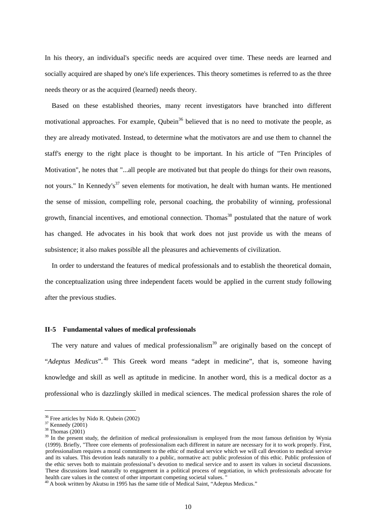In his theory, an individual's specific needs are acquired over time. These needs are learned and socially acquired are shaped by one's life experiences. This theory sometimes is referred to as the three needs theory or as the acquired (learned) needs theory.

Based on these established theories, many recent investigators have branched into different motivational approaches. For example, Qubein<sup>36</sup> believed that is no need to motivate the people, as they are already motivated. Instead, to determine what the motivators are and use them to channel the staff's energy to the right place is thought to be important. In his article of "Ten Principles of Motivation", he notes that "...all people are motivated but that people do things for their own reasons, not yours." In Kennedy's<sup>[37](#page-11-1)</sup> seven elements for motivation, he dealt with human wants. He mentioned the sense of mission, compelling role, personal coaching, the probability of winning, professional growth, financial incentives, and emotional connection. Thomas<sup>38</sup> postulated that the nature of work has changed. He advocates in his book that work does not just provide us with the means of subsistence; it also makes possible all the pleasures and achievements of civilization.

In order to understand the features of medical professionals and to establish the theoretical domain, the conceptualization using three independent facets would be applied in the current study following after the previous studies.

#### **II-5 Fundamental values of medical professionals**

The very nature and values of medical professionalism<sup>39</sup> are originally based on the concept of "*Adeptus Medicus*". [40](#page-11-4) This Greek word means "adept in medicine", that is, someone having knowledge and skill as well as aptitude in medicine. In another word, this is a medical doctor as a professional who is dazzlingly skilled in medical sciences. The medical profession shares the role of

<span id="page-11-0"></span>

<span id="page-11-1"></span>

<span id="page-11-3"></span><span id="page-11-2"></span>

<sup>&</sup>lt;sup>36</sup> Free articles by Nido R. Qubein (2002)<br><sup>37</sup> Kennedy (2001)<br><sup>38</sup> Thomas (2001)<br><sup>39</sup> In the present study, the definition of medical professionalism is employed from the most famous definition by Wynia (1999). Briefly, "Three core elements of professionalism each different in nature are necessary for it to work properly. First, professionalism requires a moral commitment to the ethic of medical service which we will call devotion to medical service and its values. This devotion leads naturally to a public, normative act: public profession of this ethic. Public profession of the ethic serves both to maintain professional's devotion to medical service and to assert its values in societal discussions. These discussions lead naturally to engagement in a political process of negotiation, in which professionals advocate for health care values in the context of other important competing societal values."<br><sup>40</sup> A book written by Akutsu in 1995 has the same title of Medical Saint, "Adeptus Medicus."

<span id="page-11-4"></span>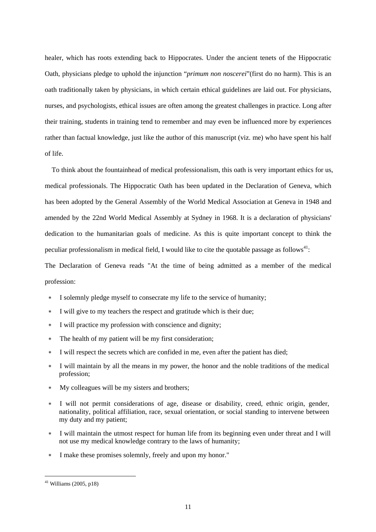healer, which has roots extending back to Hippocrates. Under the ancient tenets of the Hippocratic Oath, physicians pledge to uphold the injunction "*primum non noscerei*"(first do no harm). This is an oath traditionally taken by physicians, in which certain ethical guidelines are laid out. For physicians, nurses, and psychologists, ethical issues are often among the greatest challenges in practice. Long after their training, students in training tend to remember and may even be influenced more by experiences rather than factual knowledge, just like the author of this manuscript (viz. me) who have spent his half of life.

To think about the fountainhead of medical professionalism, this oath is very important ethics for us, medical professionals. The Hippocratic Oath has been updated in the Declaration of Geneva, which has been adopted by the General Assembly of the World Medical Association at Geneva in 1948 and amended by the 22nd World Medical Assembly at Sydney in 1968. It is a declaration of physicians' dedication to the humanitarian goals of medicine. As this is quite important concept to think the peculiar professionalism in medical field, I would like to cite the quotable passage as follows<sup>41</sup>:

The Declaration of Geneva reads "At the time of being admitted as a member of the medical profession:

- I solemnly pledge myself to consecrate my life to the service of humanity;
- ∗ I will give to my teachers the respect and gratitude which is their due;
- ∗ I will practice my profession with conscience and dignity;
- The health of my patient will be my first consideration;
- I will respect the secrets which are confided in me, even after the patient has died;
- ∗ I will maintain by all the means in my power, the honor and the noble traditions of the medical profession;
- ∗ My colleagues will be my sisters and brothers;
- I will not permit considerations of age, disease or disability, creed, ethnic origin, gender, nationality, political affiliation, race, sexual orientation, or social standing to intervene between my duty and my patient;
- ∗ I will maintain the utmost respect for human life from its beginning even under threat and I will not use my medical knowledge contrary to the laws of humanity;
- ∗ I make these promises solemnly, freely and upon my honor."

<span id="page-12-0"></span> $41$  Williams (2005, p18)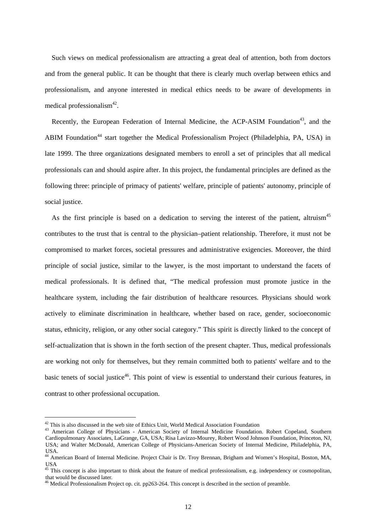Such views on medical professionalism are attracting a great deal of attention, both from doctors and from the general public. It can be thought that there is clearly much overlap between ethics and professionalism, and anyone interested in medical ethics needs to be aware of developments in medical professionalism $42$ .

Recently, the European Federation of Internal Medicine, the ACP-ASIM Foundation<sup>43</sup>, and the ABIM Foundation<sup>44</sup> start together the Medical Professionalism Project (Philadelphia, PA, USA) in late 1999. The three organizations designated members to enroll a set of principles that all medical professionals can and should aspire after. In this project, the fundamental principles are defined as the following three: principle of primacy of patients' welfare, principle of patients' autonomy, principle of social justice.

As the first principle is based on a dedication to serving the interest of the patient, altruism<sup>45</sup> contributes to the trust that is central to the physician–patient relationship. Therefore, it must not be compromised to market forces, societal pressures and administrative exigencies. Moreover, the third principle of social justice, similar to the lawyer, is the most important to understand the facets of medical professionals. It is defined that, "The medical profession must promote justice in the healthcare system, including the fair distribution of healthcare resources. Physicians should work actively to eliminate discrimination in healthcare, whether based on race, gender, socioeconomic status, ethnicity, religion, or any other social category." This spirit is directly linked to the concept of self-actualization that is shown in the forth section of the present chapter. Thus, medical professionals are working not only for themselves, but they remain committed both to patients' welfare and to the basic tenets of social justice<sup>46</sup>. This point of view is essential to understand their curious features, in contrast to other professional occupation.

<span id="page-13-0"></span><sup>&</sup>lt;sup>42</sup> This is also discussed in the web site of Ethics Unit, World Medical Association Foundation  $^{43}$  American College of Physicians - American Society of Internal Medicine Foundation. Robert Copeland, Southern

<span id="page-13-1"></span>Cardiopulmonary Associates, LaGrange, GA, USA; Risa Lavizzo-Mourey, Robert Wood Johnson Foundation, Princeton, NJ, USA; and Walter McDonald, American College of Physicians-American Society of Internal Medicine, Philadelphia, PA, USA.

<span id="page-13-2"></span><sup>&</sup>lt;sup>44</sup> American Board of Internal Medicine. Project Chair is Dr. Troy Brennan, Brigham and Women's Hospital, Boston, MA, USA

<span id="page-13-3"></span><sup>&</sup>lt;sup>45</sup> This concept is also important to think about the feature of medical professionalism, e.g. independency or cosmopolitan, that would be discussed later.<br><sup>46</sup> Medical Professionalism Project op. cit. pp263-264. This concept is described in the section of preamble.

<span id="page-13-4"></span>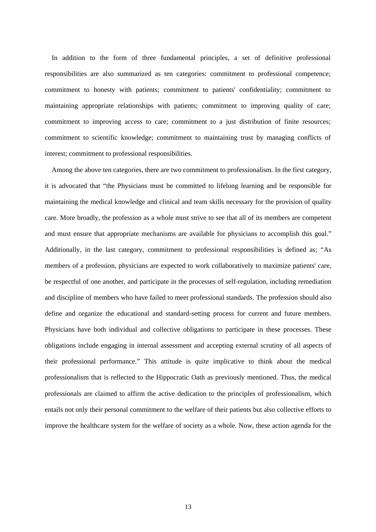In addition to the form of three fundamental principles, a set of definitive professional responsibilities are also summarized as ten categories: commitment to professional competence; commitment to honesty with patients; commitment to patients' confidentiality; commitment to maintaining appropriate relationships with patients; commitment to improving quality of care; commitment to improving access to care; commitment to a just distribution of finite resources; commitment to scientific knowledge; commitment to maintaining trust by managing conflicts of interest; commitment to professional responsibilities.

Among the above ten categories, there are two commitment to professionalism. In the first category, it is advocated that "the Physicians must be committed to lifelong learning and be responsible for maintaining the medical knowledge and clinical and team skills necessary for the provision of quality care. More broadly, the profession as a whole must strive to see that all of its members are competent and must ensure that appropriate mechanisms are available for physicians to accomplish this goal." Additionally, in the last category, commitment to professional responsibilities is defined as; "As members of a profession, physicians are expected to work collaboratively to maximize patients' care, be respectful of one another, and participate in the processes of self-regulation, including remediation and discipline of members who have failed to meet professional standards. The profession should also define and organize the educational and standard-setting process for current and future members. Physicians have both individual and collective obligations to participate in these processes. These obligations include engaging in internal assessment and accepting external scrutiny of all aspects of their professional performance." This attitude is quite implicative to think about the medical professionalism that is reflected to the Hippocratic Oath as previously mentioned. Thus, the medical professionals are claimed to affirm the active dedication to the principles of professionalism, which entails not only their personal commitment to the welfare of their patients but also collective efforts to improve the healthcare system for the welfare of society as a whole. Now, these action agenda for the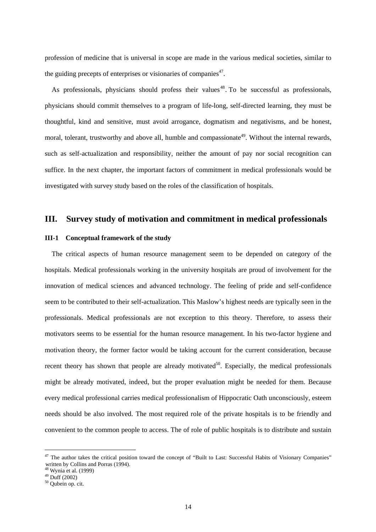profession of medicine that is universal in scope are made in the various medical societies, similar to the guiding precepts of enterprises or visionaries of companies<sup>47</sup>.

As professionals, physicians should profess their values<sup>48</sup>. To be successful as professionals, physicians should commit themselves to a program of life-long, self-directed learning, they must be thoughtful, kind and sensitive, must avoid arrogance, dogmatism and negativisms, and be honest, moral, tolerant, trustworthy and above all, humble and compassionate<sup>49</sup>. Without the internal rewards, such as self-actualization and responsibility, neither the amount of pay nor social recognition can suffice. In the next chapter, the important factors of commitment in medical professionals would be investigated with survey study based on the roles of the classification of hospitals.

## **III. Survey study of motivation and commitment in medical professionals**

#### **III-1 Conceptual framework of the study**

The critical aspects of human resource management seem to be depended on category of the hospitals. Medical professionals working in the university hospitals are proud of involvement for the innovation of medical sciences and advanced technology. The feeling of pride and self-confidence seem to be contributed to their self-actualization. This Maslow's highest needs are typically seen in the professionals. Medical professionals are not exception to this theory. Therefore, to assess their motivators seems to be essential for the human resource management. In his two-factor hygiene and motivation theory, the former factor would be taking account for the current consideration, because recent theory has shown that people are already motivated<sup>50</sup>. Especially, the medical professionals might be already motivated, indeed, but the proper evaluation might be needed for them. Because every medical professional carries medical professionalism of Hippocratic Oath unconsciously, esteem needs should be also involved. The most required role of the private hospitals is to be friendly and convenient to the common people to access. The of role of public hospitals is to distribute and sustain

<span id="page-15-0"></span><sup>&</sup>lt;sup>47</sup> The author takes the critical position toward the concept of "Built to Last: Successful Habits of Visionary Companies" written by Collins and Porras (1994).<br>  $^{48}$  Wynia et al. (1999)<br>  $^{49}$  Duff (2002)<br>  $^{50}$  Qubein op. cit.

<span id="page-15-1"></span>

<span id="page-15-2"></span>

<span id="page-15-3"></span>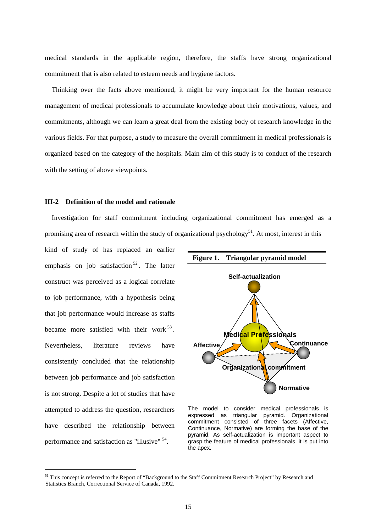medical standards in the applicable region, therefore, the staffs have strong organizational commitment that is also related to esteem needs and hygiene factors.

Thinking over the facts above mentioned, it might be very important for the human resource management of medical professionals to accumulate knowledge about their motivations, values, and commitments, although we can learn a great deal from the existing body of research knowledge in the various fields. For that purpose, a study to measure the overall commitment in medical professionals is organized based on the category of the hospitals. Main aim of this study is to conduct of the research with the setting of above viewpoints.

#### **III-2 Definition of the model and rationale**

Investigation for staff commitment including organizational commitment has emerged as a promising area of research within the study of organizational psychology<sup>51</sup>. At most, interest in this

kind of study of has replaced an earlier emphasis on job satisfaction  $52$ . The latter construct was perceived as a logical correlate to job performance, with a hypothesis being that job performance would increase as staffs became more satisfied with their work  $53$ . Nevertheless, literature reviews have consistently concluded that the relationship between job performance and job satisfaction is not strong. Despite a lot of studies that have attempted to address the question, researchers have described the relationship between performance and satisfaction as "illusive" [54.](#page-16-2) 



The model to consider medical professionals is<br>expressed as triangular pyramid. Organizational triangular pyramid. Organizational commitment consisted of three facets (Affective, Continuance, Normative) are forming the base of the pyramid. As self-actualization is important aspect to grasp the feature of medical professionals, it is put into the apex.

<span id="page-16-2"></span><span id="page-16-1"></span><span id="page-16-0"></span><sup>&</sup>lt;sup>51</sup> This concept is referred to the Report of "Background to the Staff Commitment Research Project" by Research and Statistics Branch, Correctional Service of Canada, 1992.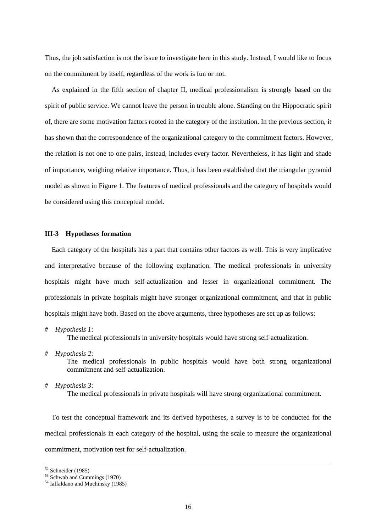Thus, the job satisfaction is not the issue to investigate here in this study. Instead, I would like to focus on the commitment by itself, regardless of the work is fun or not.

As explained in the fifth section of chapter II, medical professionalism is strongly based on the spirit of public service. We cannot leave the person in trouble alone. Standing on the Hippocratic spirit of, there are some motivation factors rooted in the category of the institution. In the previous section, it has shown that the correspondence of the organizational category to the commitment factors. However, the relation is not one to one pairs, instead, includes every factor. Nevertheless, it has light and shade of importance, weighing relative importance. Thus, it has been established that the triangular pyramid model as shown in Figure 1. The features of medical professionals and the category of hospitals would be considered using this conceptual model.

#### **III-3 Hypotheses formation**

Each category of the hospitals has a part that contains other factors as well. This is very implicative and interpretative because of the following explanation. The medical professionals in university hospitals might have much self-actualization and lesser in organizational commitment. The professionals in private hospitals might have stronger organizational commitment, and that in public hospitals might have both. Based on the above arguments, three hypotheses are set up as follows:

*# Hypothesis 1*:

The medical professionals in university hospitals would have strong self-actualization.

*# Hypothesis 2*:

The medical professionals in public hospitals would have both strong organizational commitment and self-actualization.

*# Hypothesis 3*:

The medical professionals in private hospitals will have strong organizational commitment.

To test the conceptual framework and its derived hypotheses, a survey is to be conducted for the medical professionals in each category of the hospital, using the scale to measure the organizational commitment, motivation test for self-actualization.

 $52$  Schneider (1985)

 $53$  Schwab and Cummings (1970)

<sup>&</sup>lt;sup>54</sup> Iaffaldano and Muchinsky (1985)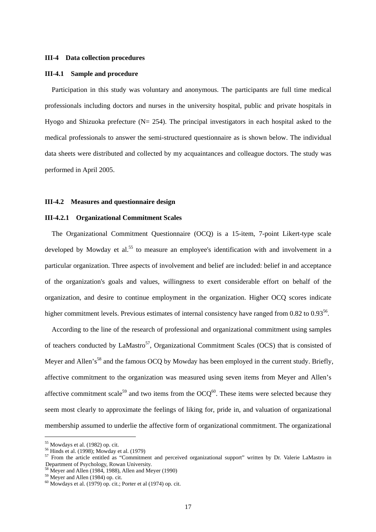#### **III-4 Data collection procedures**

#### **III-4.1 Sample and procedure**

Participation in this study was voluntary and anonymous. The participants are full time medical professionals including doctors and nurses in the university hospital, public and private hospitals in Hyogo and Shizuoka prefecture ( $N = 254$ ). The principal investigators in each hospital asked to the medical professionals to answer the semi-structured questionnaire as is shown below. The individual data sheets were distributed and collected by my acquaintances and colleague doctors. The study was performed in April 2005.

#### **III-4.2 Measures and questionnaire design**

#### **III-4.2.1 Organizational Commitment Scales**

The Organizational Commitment Questionnaire (OCQ) is a 15-item, 7-point Likert-type scale developed by Mowday et al.<sup>55</sup> to measure an employee's identification with and involvement in a particular organization. Three aspects of involvement and belief are included: belief in and acceptance of the organization's goals and values, willingness to exert considerable effort on behalf of the organization, and desire to continue employment in the organization. Higher OCQ scores indicate higher commitment levels. Previous estimates of internal consistency have ranged from 0.82 to 0.93<sup>56</sup>.

According to the line of the research of professional and organizational commitment using samples of teachers conducted by LaMastro<sup>57</sup>, Organizational Commitment Scales (OCS) that is consisted of Meyer and Allen's<sup>58</sup> and the famous OCQ by Mowday has been employed in the current study. Briefly, affective commitment to the organization was measured using seven items from Meyer and Allen's affective commitment scale<sup>59</sup> and tw[o i](#page-18-4)te[ms](#page-18-5) from the  $OCQ^{60}$ . These items were selected because they seem most clearly to approximate the feelings of liking for, pride in, and valuation of organizational membership assumed to underlie the affective form of organizational commitment. The organizational

<span id="page-18-0"></span>

<span id="page-18-2"></span><span id="page-18-1"></span>

<sup>&</sup>lt;sup>55</sup> Mowdays et al. (1982) op. cit.<br><sup>56</sup> Hinds et al. (1998); Mowday et al. (1979)<br><sup>57</sup> From the article entitled as "Commitment and perceived organizational support" written by Dr. Valerie LaMastro in Department of Psychology, Rowan University.<br><sup>58</sup> Meyer and Allen (1984, 1988), Allen and Meyer (1990)<br><sup>59</sup> Meyer and Allen (1984) op. cit.<br><sup>60</sup> Mowdays et al. (1979) op. cit.; Porter et al (1974) op. cit.

<span id="page-18-3"></span>

<span id="page-18-4"></span>

<span id="page-18-5"></span>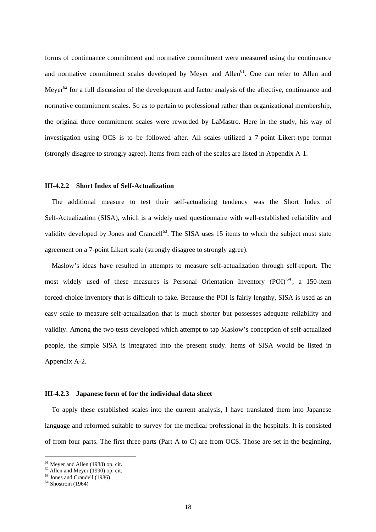forms of continuance commitment and normative commitment were measured using the continuance and normative commitment scales developed by Meyer and Allen<sup>61</sup>. One can [ref](#page-19-0)er to Allen and Meyer<sup>62</sup> for a full [di](#page-19-1)scussion of the development and factor analysis of the affective, continuance and normative commitment scales. So as to pertain to professional rather than organizational membership, the original three commitment scales were reworded by LaMastro. Here in the study, his way of investigation using OCS is to be followed after. All scales utilized a 7-point Likert-type format (strongly disagree to strongly agree). Items from each of the scales are listed in Appendix A-1.

#### **III-4.2.2 Short Index of Self-Actualization**

The additional measure to test their self-actualizing tendency was the Short Index of Self-Actualization (SISA), which is a widely used questionnaire with well-established reliability and validity developed by Jones and Crandell<sup>63</sup>. The SISA uses 15 items to which the subject must state agreement on a 7-point Likert scale (stron[gly](#page-19-2) disagree to strongly agree).

Maslow's ideas have resulted in attempts to measure self-actualization through self-report. The most widely used of these measures is Personal Orientation Inventory (POI)<sup>64</sup>, a 150-item forced-choice inventory that is difficult to fake. Because the POI is fairly lengthy, SI[SA](#page-19-3) is used as an easy scale to measure self-actualization that is much shorter but possesses adequate reliability and validity. Among the two tests developed which attempt to tap Maslow's conception of self-actualized people, the simple SISA is integrated into the present study. Items of SISA would be listed in Appendix A-2.

#### **III-4.2.3 Japanese form of for the individual data sheet**

To apply these established scales into the current analysis, I have translated them into Japanese language and reformed suitable to survey for the medical professional in the hospitals. It is consisted of from four parts. The first three parts (Part A to C) are from OCS. Those are set in the beginning,

<span id="page-19-0"></span><sup>&</sup>lt;sup>61</sup> Meyer and Allen (1988) op. cit.<br><sup>62</sup> Allen and Meyer (1990) op. cit.<br><sup>63</sup> Jones and Crandell (1986)

<span id="page-19-1"></span>

<span id="page-19-2"></span>

<span id="page-19-3"></span> $64$  Shostrom (1964)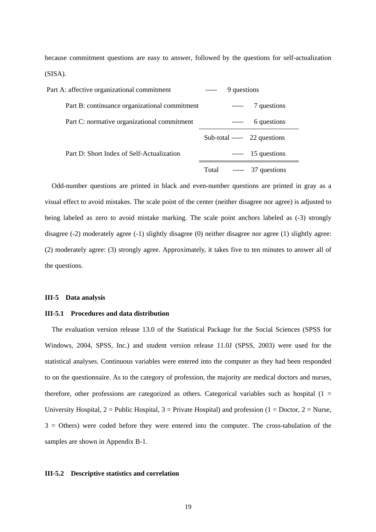because commitment questions are easy to answer, followed by the questions for self-actualization (SISA).

| Part A: affective organizational commitment   |       | 9 questions |                                |  |
|-----------------------------------------------|-------|-------------|--------------------------------|--|
| Part B: continuance organizational commitment |       |             | 7 questions                    |  |
| Part C: normative organizational commitment   |       |             | 6 questions                    |  |
|                                               |       |             | Sub-total ----- $22$ questions |  |
| Part D: Short Index of Self-Actualization     |       |             | $--$ 15 questions              |  |
|                                               | Total | $-----$     | 37 questions                   |  |

Odd-number questions are printed in black and even-number questions are printed in gray as a visual effect to avoid mistakes. The scale point of the center (neither disagree nor agree) is adjusted to being labeled as zero to avoid mistake marking. The scale point anchors labeled as  $(-3)$  strongly disagree (-2) moderately agree (-1) slightly disagree (0) neither disagree nor agree (1) slightly agree: (2) moderately agree: (3) strongly agree. Approximately, it takes five to ten minutes to answer all of the questions.

#### **III-5 Data analysis**

#### **III-5.1 Procedures and data distribution**

The evaluation version release 13.0 of the Statistical Package for the Social Sciences (SPSS for Windows, 2004, SPSS, Inc.) and student version release 11.0J (SPSS, 2003) were used for the statistical analyses. Continuous variables were entered into the computer as they had been responded to on the questionnaire. As to the category of profession, the majority are medical doctors and nurses, therefore, other professions are categorized as others. Categorical variables such as hospital  $(1 =$ University Hospital,  $2 =$  Public Hospital,  $3 =$  Private Hospital) and profession (1 = Doctor, 2 = Nurse,  $3 =$  Others) were coded before they were entered into the computer. The cross-tabulation of the samples are shown in Appendix B-1.

#### **III-5.2 Descriptive statistics and correlation**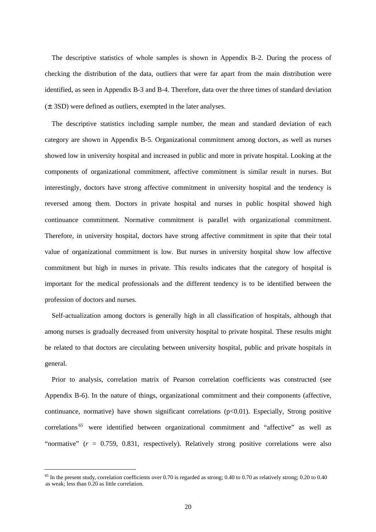The descriptive statistics of whole samples is shown in Appendix B-2. During the process of checking the distribution of the data, outliers that were far apart from the main distribution were identified, as seen in Appendix B-3 and B-4. Therefore, data over the three times of standard deviation (±3SD) were defined as outliers, exempted in the later analyses.

The descriptive statistics including sample number, the mean and standard deviation of each category are shown in Appendix B-5. Organizational commitment among doctors, as well as nurses showed low in university hospital and increased in public and more in private hospital. Looking at the components of organizational commitment, affective commitment is similar result in nurses. But interestingly, doctors have strong affective commitment in university hospital and the tendency is reversed among them. Doctors in private hospital and nurses in public hospital showed high continuance commitment. Normative commitment is parallel with organizational commitment. Therefore, in university hospital, doctors have strong affective commitment in spite that their total value of organizational commitment is low. But nurses in university hospital show low affective commitment but high in nurses in private. This results indicates that the category of hospital is important for the medical professionals and the different tendency is to be identified between the profession of doctors and nurses.

Self-actualization among doctors is generally high in all classification of hospitals, although that among nurses is gradually decreased from university hospital to private hospital. These results might be related to that doctors are circulating between university hospital, public and private hospitals in general.

Prior to analysis, correlation matrix of Pearson correlation coefficients was constructed (see Appendix B-6). In the nature of things, organizational commitment and their components (affective, continuance, normative) have shown significant correlations  $(p<0.01)$ . Especially, Strong positive correlations<sup>65</sup> were identified between organizational commitment and "affective" as well as "normative[" \(](#page-21-0) $r = 0.759, 0.831$ , respectively). Relatively strong positive correlations were also

<span id="page-21-0"></span> $65$  In the present study, correlation coefficients over 0.70 is regarded as strong; 0.40 to 0.70 as relatively strong; 0.20 to 0.40 as weak; less than 0.20 as little correlation.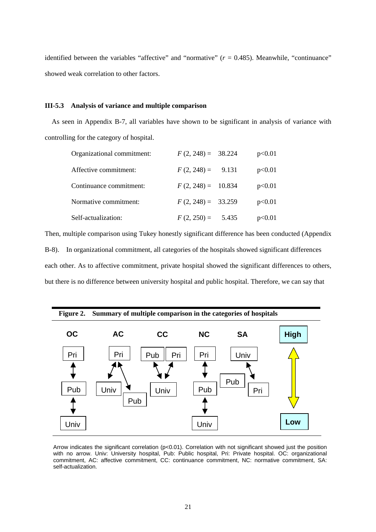identified between the variables "affective" and "normative"  $(r = 0.485)$ . Meanwhile, "continuance" showed weak correlation to other factors.

#### **III-5.3 Analysis of variance and multiple comparison**

As seen in Appendix B-7, all variables have shown to be significant in analysis of variance with controlling for the category of hospital.

| Organizational commitment: | $F(2, 248) = 38.224$ | p<0.01 |
|----------------------------|----------------------|--------|
| Affective commitment:      | $F(2, 248) = 9.131$  | p<0.01 |
| Continuance commitment:    | $F(2, 248) = 10.834$ | p<0.01 |
| Normative commitment:      | $F(2, 248) = 33.259$ | p<0.01 |
| Self-actualization:        | $F(2, 250) = 5.435$  | p<0.01 |

Then, multiple comparison using Tukey honestly significant difference has been conducted (Appendix B-8). In organizational commitment, all categories of the hospitals showed significant differences each other. As to affective commitment, private hospital showed the significant differences to others, but there is no difference between university hospital and public hospital. Therefore, we can say that



Arrow indicates the significant correlation (p<0.01). Correlation with not significant showed just the position with no arrow. Univ: University hospital, Pub: Public hospital, Pri: Private hospital. OC: organizational commitment, AC: affective commitment, CC: continuance commitment, NC: normative commitment, SA: self-actualization.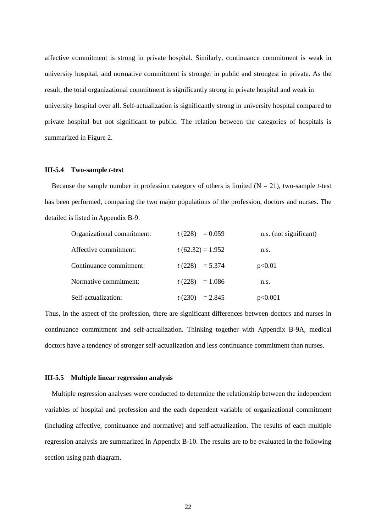affective commitment is strong in private hospital. Similarly, continuance commitment is weak in university hospital, and normative commitment is stronger in public and strongest in private. As the result, the total organizational commitment is significantly strong in private hospital and weak in university hospital over all. Self-actualization is significantly strong in university hospital compared to private hospital but not significant to public. The relation between the categories of hospitals is summarized in Figure 2.

#### **III-5.4 Two-sample** *t***-test**

Because the sample number in profession category of others is limited  $(N = 21)$ , two-sample *t*-test has been performed, comparing the two major populations of the profession, doctors and nurses. The detailed is listed in Appendix B-9.

| Organizational commitment: | $t(228) = 0.059$   | n.s. (not significant) |  |
|----------------------------|--------------------|------------------------|--|
| Affective commitment:      | $t(62.32) = 1.952$ | n.s.                   |  |
| Continuance commitment:    | $t(228) = 5.374$   | p<0.01                 |  |
| Normative commitment:      | $t(228) = 1.086$   | n.s.                   |  |
| Self-actualization:        | $t(230) = 2.845$   | p<0.001                |  |

Thus, in the aspect of the profession, there are significant differences between doctors and nurses in continuance commitment and self-actualization. Thinking together with Appendix B-9A, medical doctors have a tendency of stronger self-actualization and less continuance commitment than nurses.

#### **III-5.5 Multiple linear regression analysis**

Multiple regression analyses were conducted to determine the relationship between the independent variables of hospital and profession and the each dependent variable of organizational commitment (including affective, continuance and normative) and self-actualization. The results of each multiple regression analysis are summarized in Appendix B-10. The results are to be evaluated in the following section using path diagram.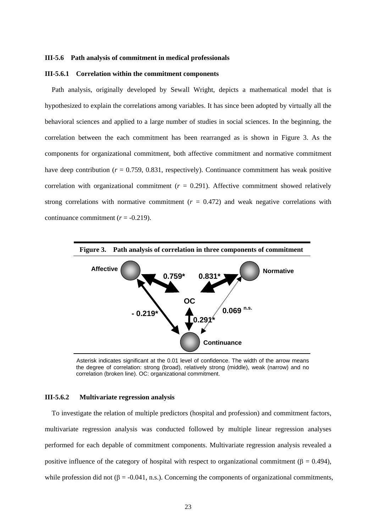#### **III-5.6 Path analysis of commitment in medical professionals**

#### **III-5.6.1 Correlation within the commitment components**

Path analysis, originally developed by Sewall Wright, depicts a mathematical model that is hypothesized to explain the correlations among variables. It has since been adopted by virtually all the behavioral sciences and applied to a large number of studies in social sciences. In the beginning, the correlation between the each commitment has been rearranged as is shown in Figure 3. As the components for organizational commitment, both affective commitment and normative commitment have deep contribution ( $r = 0.759, 0.831$ , respectively). Continuance commitment has weak positive correlation with organizational commitment  $(r = 0.291)$ . Affective commitment showed relatively strong correlations with normative commitment  $(r = 0.472)$  and weak negative correlations with continuance commitment  $(r = -0.219)$ .



Asterisk indicates significant at the 0.01 level of confidence. The width of the arrow means the degree of correlation: strong (broad), relatively strong (middle), weak (narrow) and no correlation (broken line). OC: organizational commitment.

#### **III-5.6.2 Multivariate regression analysis**

To investigate the relation of multiple predictors (hospital and profession) and commitment factors, multivariate regression analysis was conducted followed by multiple linear regression analyses performed for each depable of commitment components. Multivariate regression analysis revealed a positive influence of the category of hospital with respect to organizational commitment ( $\beta = 0.494$ ), while profession did not ( $\beta = -0.041$ , n.s.). Concerning the components of organizational commitments,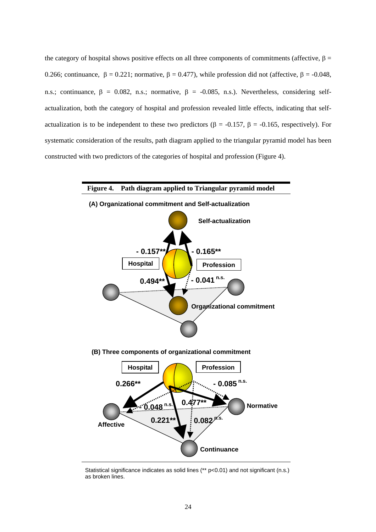the category of hospital shows positive effects on all three components of commitments (affective,  $\beta$  = 0.266; continuance,  $\beta = 0.221$ ; normative,  $\beta = 0.477$ ), while profession did not (affective,  $\beta = -0.048$ , n.s.; continuance,  $\beta = 0.082$ , n.s.; normative,  $\beta = -0.085$ , n.s.). Nevertheless, considering selfactualization, both the category of hospital and profession revealed little effects, indicating that selfactualization is to be independent to these two predictors ( $\beta$  = -0.157,  $\beta$  = -0.165, respectively). For systematic consideration of the results, path diagram applied to the triangular pyramid model has been constructed with two predictors of the categories of hospital and profession (Figure 4).



Statistical significance indicates as solid lines (\*\* p<0.01) and not significant (n.s.) as broken lines.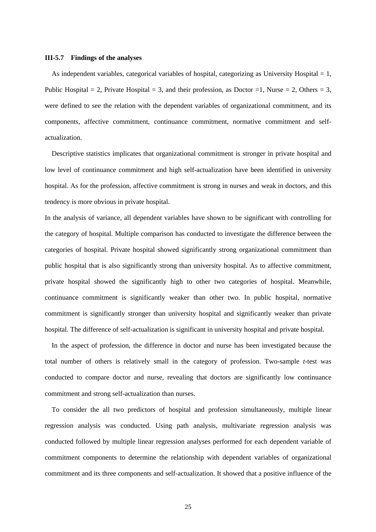#### **III-5.7 Findings of the analyses**

As independent variables, categorical variables of hospital, categorizing as University Hospital  $= 1$ , Public Hospital = 2, Private Hospital = 3, and their profession, as Doctor = 1, Nurse = 2, Others = 3, were defined to see the relation with the dependent variables of organizational commitment, and its components, affective commitment, continuance commitment, normative commitment and selfactualization.

Descriptive statistics implicates that organizational commitment is stronger in private hospital and low level of continuance commitment and high self-actualization have been identified in university hospital. As for the profession, affective commitment is strong in nurses and weak in doctors, and this tendency is more obvious in private hospital.

In the analysis of variance, all dependent variables have shown to be significant with controlling for the category of hospital. Multiple comparison has conducted to investigate the difference between the categories of hospital. Private hospital showed significantly strong organizational commitment than public hospital that is also significantly strong than university hospital. As to affective commitment, private hospital showed the significantly high to other two categories of hospital. Meanwhile, continuance commitment is significantly weaker than other two. In public hospital, normative commitment is significantly stronger than university hospital and significantly weaker than private hospital. The difference of self-actualization is significant in university hospital and private hospital.

In the aspect of profession, the difference in doctor and nurse has been investigated because the total number of others is relatively small in the category of profession. Two-sample *t*-test was conducted to compare doctor and nurse, revealing that doctors are significantly low continuance commitment and strong self-actualization than nurses.

To consider the all two predictors of hospital and profession simultaneously, multiple linear regression analysis was conducted. Using path analysis, multivariate regression analysis was conducted followed by multiple linear regression analyses performed for each dependent variable of commitment components to determine the relationship with dependent variables of organizational commitment and its three components and self-actualization. It showed that a positive influence of the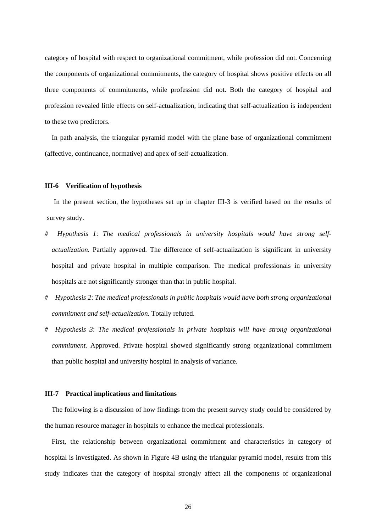category of hospital with respect to organizational commitment, while profession did not. Concerning the components of organizational commitments, the category of hospital shows positive effects on all three components of commitments, while profession did not. Both the category of hospital and profession revealed little effects on self-actualization, indicating that self-actualization is independent to these two predictors.

In path analysis, the triangular pyramid model with the plane base of organizational commitment (affective, continuance, normative) and apex of self-actualization.

#### **III-6 Verification of hypothesis**

In the present section, the hypotheses set up in chapter III-3 is verified based on the results of survey study.

- *# Hypothesis 1*: *The medical professionals in university hospitals would have strong selfactualization.* Partially approved. The difference of self-actualization is significant in university hospital and private hospital in multiple comparison. The medical professionals in university hospitals are not significantly stronger than that in public hospital.
- *# Hypothesis 2*: *The medical professionals in public hospitals would have both strong organizational commitment and self-actualization.* Totally refuted.
- *# Hypothesis 3*: *The medical professionals in private hospitals will have strong organizational commitment.* Approved. Private hospital showed significantly strong organizational commitment than public hospital and university hospital in analysis of variance.

#### **III-7 Practical implications and limitations**

The following is a discussion of how findings from the present survey study could be considered by the human resource manager in hospitals to enhance the medical professionals.

First, the relationship between organizational commitment and characteristics in category of hospital is investigated. As shown in Figure 4B using the triangular pyramid model, results from this study indicates that the category of hospital strongly affect all the components of organizational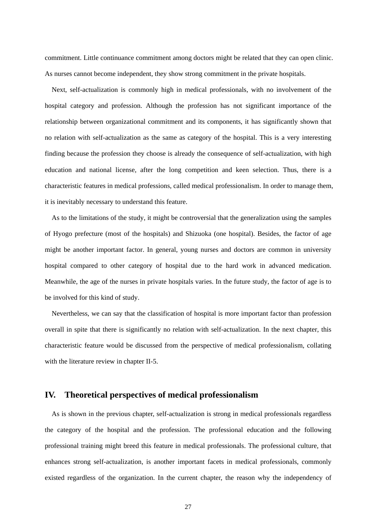commitment. Little continuance commitment among doctors might be related that they can open clinic. As nurses cannot become independent, they show strong commitment in the private hospitals.

Next, self-actualization is commonly high in medical professionals, with no involvement of the hospital category and profession. Although the profession has not significant importance of the relationship between organizational commitment and its components, it has significantly shown that no relation with self-actualization as the same as category of the hospital. This is a very interesting finding because the profession they choose is already the consequence of self-actualization, with high education and national license, after the long competition and keen selection. Thus, there is a characteristic features in medical professions, called medical professionalism. In order to manage them, it is inevitably necessary to understand this feature.

As to the limitations of the study, it might be controversial that the generalization using the samples of Hyogo prefecture (most of the hospitals) and Shizuoka (one hospital). Besides, the factor of age might be another important factor. In general, young nurses and doctors are common in university hospital compared to other category of hospital due to the hard work in advanced medication. Meanwhile, the age of the nurses in private hospitals varies. In the future study, the factor of age is to be involved for this kind of study.

Nevertheless, we can say that the classification of hospital is more important factor than profession overall in spite that there is significantly no relation with self-actualization. In the next chapter, this characteristic feature would be discussed from the perspective of medical professionalism, collating with the literature review in chapter II-5.

## **IV. Theoretical perspectives of medical professionalism**

As is shown in the previous chapter, self-actualization is strong in medical professionals regardless the category of the hospital and the profession. The professional education and the following professional training might breed this feature in medical professionals. The professional culture, that enhances strong self-actualization, is another important facets in medical professionals, commonly existed regardless of the organization. In the current chapter, the reason why the independency of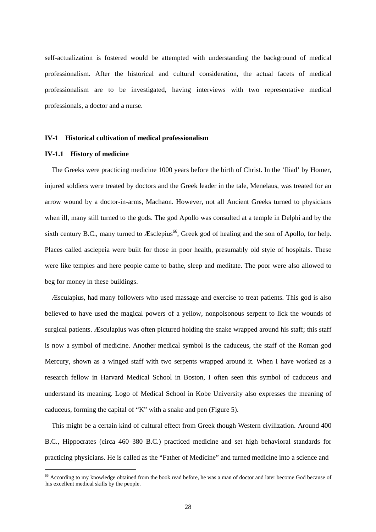self-actualization is fostered would be attempted with understanding the background of medical professionalism. After the historical and cultural consideration, the actual facets of medical professionalism are to be investigated, having interviews with two representative medical professionals, a doctor and a nurse.

#### **IV-1 Historical cultivation of medical professionalism**

#### **IV-1.1 History of medicine**

 $\overline{a}$ 

The Greeks were practicing medicine 1000 years before the birth of Christ. In the 'Iliad' by Homer, injured soldiers were treated by doctors and the Greek leader in the tale, Menelaus, was treated for an arrow wound by a doctor-in-arms, Machaon. However, not all Ancient Greeks turned to physicians when ill, many still turned to the gods. The god Apollo was consulted at a temple in Delphi and by the sixth century B.C., many turned to  $\mathcal{E}$ sclepius<sup>66</sup>, Greek god of healing and the son of Apollo, for help. Places called asclepeia were built for those in poor health, presumably old style of hospitals. These were like temples and here people came to bathe, sleep and meditate. The poor were also allowed to beg for money in these buildings.

Æsculapius, had many followers who used massage and exercise to treat patients. This god is also believed to have used the magical powers of a yellow, nonpoisonous serpent to lick the wounds of surgical patients. Æsculapius was often pictured holding the snake wrapped around his staff; this staff is now a symbol of medicine. Another medical symbol is the caduceus, the staff of the Roman god Mercury, shown as a winged staff with two serpents wrapped around it. When I have worked as a research fellow in Harvard Medical School in Boston, I often seen this symbol of caduceus and understand its meaning. Logo of Medical School in Kobe University also expresses the meaning of caduceus, forming the capital of "K" with a snake and pen (Figure 5).

This might be a certain kind of cultural effect from Greek though Western civilization. Around 400 B.C., Hippocrates (circa 460–380 B.C.) practiced medicine and set high behavioral standards for practicing physicians. He is called as the "Father of Medicine" and turned medicine into a science and

<span id="page-29-0"></span><sup>&</sup>lt;sup>66</sup> According to my knowledge obtained from the book read before, he was a man of doctor and later become God because of his excellent medical skills by the people.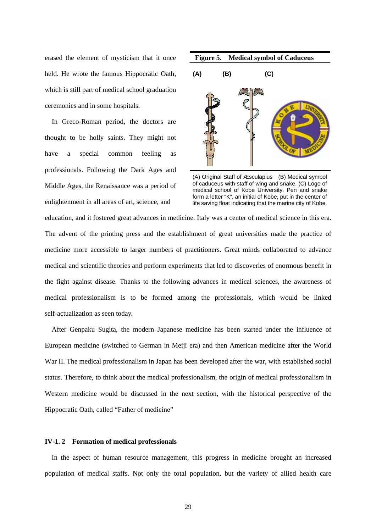erased the element of mysticism that it once held. He wrote the famous Hippocratic Oath, which is still part of medical school graduation ceremonies and in some hospitals.

In Greco-Roman period, the doctors are thought to be holly saints. They might not have a special common feeling as professionals. Following the Dark Ages and Middle Ages, the Renaissance was a period of enlightenment in all areas of art, science, and



(A) Original Staff of Æsculapius (B) Medical symbol of caduceus with staff of wing and snake. (C) Logo of medical school of Kobe University. Pen and snake form a letter "K", an initial of Kobe, put in the center of life saving float indicating that the marine city of Kobe.

education, and it fostered great advances in medicine. Italy was a center of medical science in this era. The advent of the printing press and the establishment of great universities made the practice of medicine more accessible to larger numbers of practitioners. Great minds collaborated to advance medical and scientific theories and perform experiments that led to discoveries of enormous benefit in the fight against disease. Thanks to the following advances in medical sciences, the awareness of medical professionalism is to be formed among the professionals, which would be linked self-actualization as seen today.

After Genpaku Sugita, the modern Japanese medicine has been started under the influence of European medicine (switched to German in Meiji era) and then American medicine after the World War II. The medical professionalism in Japan has been developed after the war, with established social status. Therefore, to think about the medical professionalism, the origin of medical professionalism in Western medicine would be discussed in the next section, with the historical perspective of the Hippocratic Oath, called "Father of medicine"

#### **IV-1. 2 Formation of medical professionals**

In the aspect of human resource management, this progress in medicine brought an increased population of medical staffs. Not only the total population, but the variety of allied health care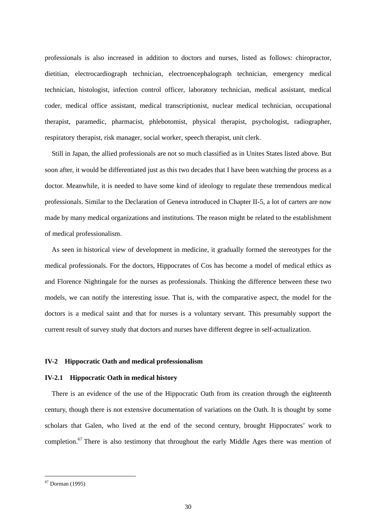professionals is also increased in addition to doctors and nurses, listed as follows: chiropractor, dietitian, electrocardiograph technician, electroencephalograph technician, emergency medical technician, histologist, infection control officer, laboratory technician, medical assistant, medical coder, medical office assistant, medical transcriptionist, nuclear medical technician, occupational therapist, paramedic, pharmacist, phlebotomist, physical therapist, psychologist, radiographer, respiratory therapist, risk manager, social worker, speech therapist, unit clerk.

Still in Japan, the allied professionals are not so much classified as in Unites States listed above. But soon after, it would be differentiated just as this two decades that I have been watching the process as a doctor. Meanwhile, it is needed to have some kind of ideology to regulate these tremendous medical professionals. Similar to the Declaration of Geneva introduced in Chapter II-5, a lot of carters are now made by many medical organizations and institutions. The reason might be related to the establishment of medical professionalism.

As seen in historical view of development in medicine, it gradually formed the stereotypes for the medical professionals. For the doctors, Hippocrates of Cos has become a model of medical ethics as and Florence Nightingale for the nurses as professionals. Thinking the difference between these two models, we can notify the interesting issue. That is, with the comparative aspect, the model for the doctors is a medical saint and that for nurses is a voluntary servant. This presumably support the current result of survey study that doctors and nurses have different degree in self-actualization.

#### **IV-2 Hippocratic Oath and medical professionalism**

#### **IV-2.1 Hippocratic Oath in medical history**

There is an evidence of the use of the Hippocratic Oath from its creation through the eighteenth century, though there is not extensive documentation of variations on the Oath. It is thought by some scholars that Galen, who lived at the end of the second century, brought Hippocrates' work to completion.<sup>[67](#page-31-0)</sup> There is also testimony that throughout the early Middle Ages there was mention of

<span id="page-31-0"></span><sup>67</sup> Dorman (1995)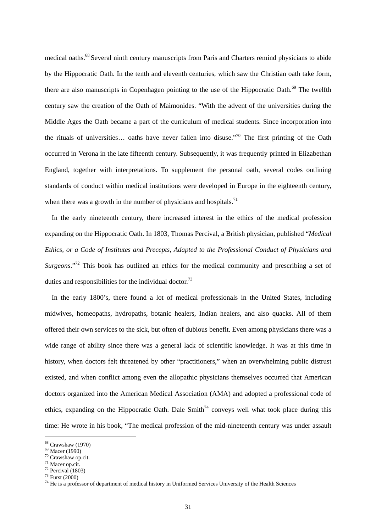medical oaths.<sup>[68](#page-32-0)</sup> Several ninth century manuscripts from Paris and Charters remind physicians to abide by the Hippocratic Oath. In the tenth and eleventh centuries, which saw the Christian oath take form, there are also manuscripts in Copenhagen pointing to the use of the Hippocratic Oath.<sup>69</sup> The twelfth century saw the creation of the Oath of Maimonides. "With the advent of the universities during the Middle Ages the Oath became a part of the curriculum of medical students. Since incorporation into the rituals of universities… oaths have never fallen into disuse."[70](#page-32-2) The first printing of the Oath occurred in Verona in the late fifteenth century. Subsequently, it was frequently printed in Elizabethan England, together with interpretations. To supplement the personal oath, several codes outlining standards of conduct within medical institutions were developed in Europe in the eighteenth century, when there was a growth in the number of physicians and hospitals.<sup>[71](#page-32-3)</sup>

In the early nineteenth century, there increased interest in the ethics of the medical profession expanding on the Hippocratic Oath. In 1803, Thomas Percival, a British physician, published "*Medical Ethics, or a Code of Institutes and Precepts, Adapted to the Professional Conduct of Physicians and Surgeons*.["72](#page-32-4) This book has outlined an ethics for the medical community and prescribing a set of duties and responsibilities for the individual doctor.<sup>73</sup>

In the early 1800's, there found a lot of medical professionals in the United States, including midwives, homeopaths, hydropaths, botanic healers, Indian healers, and also quacks. All of them offered their own services to the sick, but often of dubious benefit. Even among physicians there was a wide range of ability since there was a general lack of scientific knowledge. It was at this time in history, when doctors felt threatened by other "practitioners," when an overwhelming public distrust existed, and when conflict among even the allopathic physicians themselves occurred that American doctors organized into the American Medical Association (AMA) and adopted a professional code of ethics, expanding on the Hippocratic Oath. Dale  $Smith^{74}$  conveys well what took place during this time: He wrote in his book, "The medical profession of the mid-nineteenth century was under assault

<span id="page-32-0"></span><sup>68</sup> Crawshaw (1970)

<span id="page-32-2"></span><span id="page-32-1"></span>

 $^{69}$  Macer (1990)<br><sup>70</sup> Crawshaw op.cit.

<span id="page-32-3"></span><sup>&</sup>lt;sup>71</sup> Macer op.cit.<br><sup>72</sup> Percival (1803)

<span id="page-32-4"></span>

<span id="page-32-5"></span><sup>73</sup> Furst (2000)

<span id="page-32-6"></span><sup>&</sup>lt;sup>74</sup> He is a professor of department of medical history in Uniformed Services University of the Health Sciences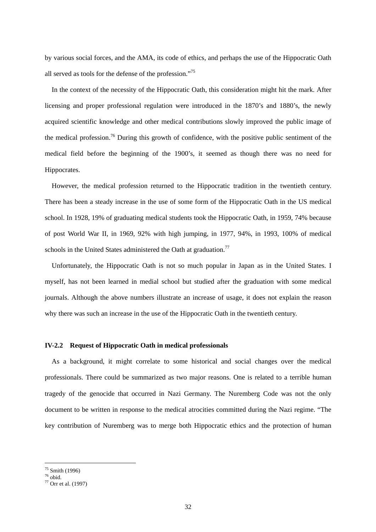by various social forces, and the AMA, its code of ethics, and perhaps the use of the Hippocratic Oath all served as tools for the defense of the profession."[75](#page-33-0) 

In the context of the necessity of the Hippocratic Oath, this consideration might hit the mark. After licensing and proper professional regulation were introduced in the 1870's and 1880's, the newly acquired scientific knowledge and other medical contributions slowly improved the public image of the medical profession.<sup>76</sup> During this growth of confidence, with the positive public sentiment of the medical field before the beginning of the 1900's, it seemed as though there was no need for Hippocrates.

However, the medical profession returned to the Hippocratic tradition in the twentieth century. There has been a steady increase in the use of some form of the Hippocratic Oath in the US medical school. In 1928, 19% of graduating medical students took the Hippocratic Oath, in 1959, 74% because of post World War II, in 1969, 92% with high jumping, in 1977, 94%, in 1993, 100% of medical schools in the United States administered the Oath at graduation.<sup>77</sup>

Unfortunately, the Hippocratic Oath is not so much popular in Japan as in the United States. I myself, has not been learned in medial school but studied after the graduation with some medical journals. Although the above numbers illustrate an increase of usage, it does not explain the reason why there was such an increase in the use of the Hippocratic Oath in the twentieth century.

#### **IV-2.2 Request of Hippocratic Oath in medical professionals**

As a background, it might correlate to some historical and social changes over the medical professionals. There could be summarized as two major reasons. One is related to a terrible human tragedy of the genocide that occurred in Nazi Germany. The Nuremberg Code was not the only document to be written in response to the medical atrocities committed during the Nazi regime. "The key contribution of Nuremberg was to merge both Hippocratic ethics and the protection of human

<span id="page-33-0"></span> $75$  Smith (1996)

<span id="page-33-1"></span> $76$  obid.

<span id="page-33-2"></span><sup>77</sup> Orr et al. (1997)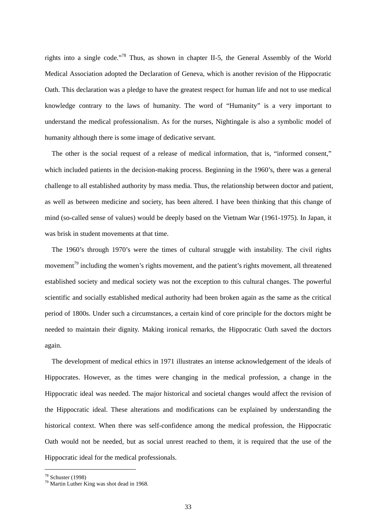rights into a single code."[78](#page-34-0) Thus, as shown in chapter II-5, the General Assembly of the World Medical Association adopted the Declaration of Geneva, which is another revision of the Hippocratic Oath. This declaration was a pledge to have the greatest respect for human life and not to use medical knowledge contrary to the laws of humanity. The word of "Humanity" is a very important to understand the medical professionalism. As for the nurses, Nightingale is also a symbolic model of humanity although there is some image of dedicative servant.

The other is the social request of a release of medical information, that is, "informed consent," which included patients in the decision-making process. Beginning in the 1960's, there was a general challenge to all established authority by mass media. Thus, the relationship between doctor and patient, as well as between medicine and society, has been altered. I have been thinking that this change of mind (so-called sense of values) would be deeply based on the Vietnam War (1961-1975). In Japan, it was brisk in student movements at that time.

The 1960's through 1970's were the times of cultural struggle with instability. The civil rights movement<sup>79</sup> including the women's rights movement, and the patient's rights movement, all threatened established society and medical society was not the exception to this cultural changes. The powerful scientific and socially established medical authority had been broken again as the same as the critical period of 1800s. Under such a circumstances, a certain kind of core principle for the doctors might be needed to maintain their dignity. Making ironical remarks, the Hippocratic Oath saved the doctors again.

The development of medical ethics in 1971 illustrates an intense acknowledgement of the ideals of Hippocrates. However, as the times were changing in the medical profession, a change in the Hippocratic ideal was needed. The major historical and societal changes would affect the revision of the Hippocratic ideal. These alterations and modifications can be explained by understanding the historical context. When there was self-confidence among the medical profession, the Hippocratic Oath would not be needed, but as social unrest reached to them, it is required that the use of the Hippocratic ideal for the medical professionals.

<span id="page-34-0"></span><sup>78</sup> Schuster (1998)

<span id="page-34-1"></span> $79$  Martin Luther King was shot dead in 1968.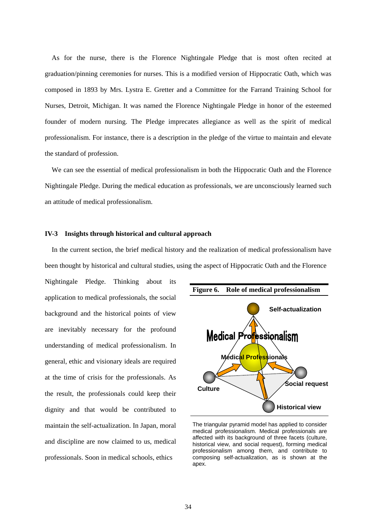As for the nurse, there is the Florence Nightingale Pledge that is most often recited at graduation/pinning ceremonies for nurses. This is a modified version of Hippocratic Oath, which was composed in 1893 by Mrs. Lystra E. Gretter and a Committee for the Farrand Training School for Nurses, Detroit, Michigan. It was named the Florence Nightingale Pledge in honor of the esteemed founder of modern nursing. The Pledge imprecates allegiance as well as the spirit of medical professionalism. For instance, there is a description in the pledge of the virtue to maintain and elevate the standard of profession.

We can see the essential of medical professionalism in both the Hippocratic Oath and the Florence Nightingale Pledge. During the medical education as professionals, we are unconsciously learned such an attitude of medical professionalism.

#### **IV-3 Insights through historical and cultural approach**

In the current section, the brief medical history and the realization of medical professionalism have been thought by historical and cultural studies, using the aspect of Hippocratic Oath and the Florence

Nightingale Pledge. Thinking about its application to medical professionals, the social background and the historical points of view are inevitably necessary for the profound understanding of medical professionalism. In general, ethic and visionary ideals are required at the time of crisis for the professionals. As the result, the professionals could keep their dignity and that would be contributed to maintain the self-actualization. In Japan, moral and discipline are now claimed to us, medical professionals. Soon in medical schools, ethics



The triangular pyramid model has applied to consider medical professionalism. Medical professionals are affected with its background of three facets (culture, historical view, and social request), forming medical professionalism among them, and contribute to composing self-actualization, as is shown at the apex.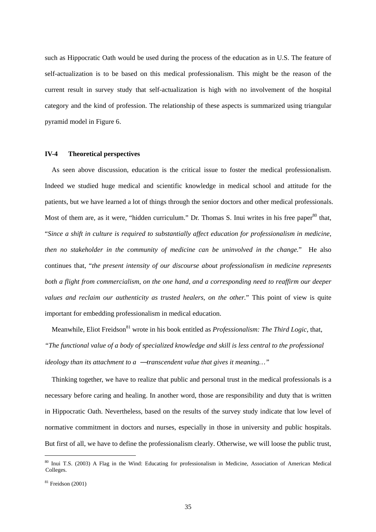such as Hippocratic Oath would be used during the process of the education as in U.S. The feature of self-actualization is to be based on this medical professionalism. This might be the reason of the current result in survey study that self-actualization is high with no involvement of the hospital category and the kind of profession. The relationship of these aspects is summarized using triangular pyramid model in Figure 6.

#### **IV-4 Theoretical perspectives**

As seen above discussion, education is the critical issue to foster the medical professionalism. Indeed we studied huge medical and scientific knowledge in medical school and attitude for the patients, but we have learned a lot of things through the senior doctors and other medical professionals. Most of them are, as it were, "hidden curriculum." Dr. Thomas S. Inui writes in his free paper<sup>80</sup> that, "*Since a shift in culture is required to substantially affect education for professionalism in medicine, then no stakeholder in the community of medicine can be uninvolved in the change.*" He also continues that, "*the present intensity of our discourse about professionalism in medicine represents both a flight from commercialism, on the one hand, and a corresponding need to reaffirm our deeper values and reclaim our authenticity as trusted healers, on the other.*" This point of view is quite important for embedding professionalism in medical education.

Meanwhile, Eliot Freidson<sup>81</sup> wrote in his book entitled as *Professionalism: The Third Logic*, that, *"The functional value of a body of specialized knowledge and skill is less central to the professional ideology than its attachment to a transcendent value that gives it meaning…"*

Thinking together, we have to realize that public and personal trust in the medical professionals is a necessary before caring and healing. In another word, those are responsibility and duty that is written in Hippocratic Oath. Nevertheless, based on the results of the survey study indicate that low level of normative commitment in doctors and nurses, especially in those in university and public hospitals. But first of all, we have to define the professionalism clearly. Otherwise, we will loose the public trust,

<span id="page-36-0"></span><sup>80</sup> Inui T.S. (2003) A Flag in the Wind: Educating for professionalism in Medicine, Association of American Medical Colleges.

<span id="page-36-1"></span> $81$  Freidson (2001)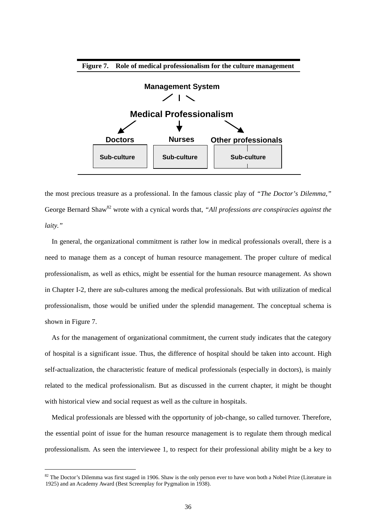

the most precious treasure as a professional. In the famous classic play of *"The Doctor's Dilemma,"* George Bernard Shaw<sup>82</sup> wrote with a cynical words that, "All professions are conspiracies against the *laity."*

In general, the organizational commitment is rather low in medical professionals overall, there is a need to manage them as a concept of human resource management. The proper culture of medical professionalism, as well as ethics, might be essential for the human resource management. As shown in Chapter I-2, there are sub-cultures among the medical professionals. But with utilization of medical professionalism, those would be unified under the splendid management. The conceptual schema is shown in Figure 7.

As for the management of organizational commitment, the current study indicates that the category of hospital is a significant issue. Thus, the difference of hospital should be taken into account. High self-actualization, the characteristic feature of medical professionals (especially in doctors), is mainly related to the medical professionalism. But as discussed in the current chapter, it might be thought with historical view and social request as well as the culture in hospitals.

Medical professionals are blessed with the opportunity of job-change, so called turnover. Therefore, the essential point of issue for the human resource management is to regulate them through medical professionalism. As seen the interviewee 1, to respect for their professional ability might be a key to

<span id="page-37-0"></span> $82$  The Doctor's Dilemma was first staged in 1906. Shaw is the only person ever to have won both a Nobel Prize (Literature in 1925) and an Academy Award (Best Screenplay for Pygmalion in 1938).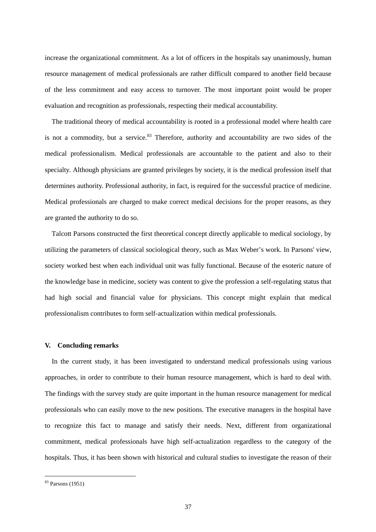increase the organizational commitment. As a lot of officers in the hospitals say unanimously, human resource management of medical professionals are rather difficult compared to another field because of the less commitment and easy access to turnover. The most important point would be proper evaluation and recognition as professionals, respecting their medical accountability.

The traditional theory of medical accountability is rooted in a professional model where health care is not a commodity, but a service. $83$  Therefore, authority and accountability are two sides of the medical professionalism. Medical professionals are accountable to the patient and also to their specialty. Although physicians are granted privileges by society, it is the medical profession itself that determines authority. Professional authority, in fact, is required for the successful practice of medicine. Medical professionals are charged to make correct medical decisions for the proper reasons, as they are granted the authority to do so.

Talcott Parsons constructed the first theoretical concept directly applicable to medical sociology, by utilizing the parameters of classical sociological theory, such as Max Weber's work. In Parsons' view, society worked best when each individual unit was fully functional. Because of the esoteric nature of the knowledge base in medicine, society was content to give the profession a self-regulating status that had high social and financial value for physicians. This concept might explain that medical professionalism contributes to form self-actualization within medical professionals.

#### **V. Concluding remarks**

In the current study, it has been investigated to understand medical professionals using various approaches, in order to contribute to their human resource management, which is hard to deal with. The findings with the survey study are quite important in the human resource management for medical professionals who can easily move to the new positions. The executive managers in the hospital have to recognize this fact to manage and satisfy their needs. Next, different from organizational commitment, medical professionals have high self-actualization regardless to the category of the hospitals. Thus, it has been shown with historical and cultural studies to investigate the reason of their

<span id="page-38-0"></span><sup>83</sup> Parsons (1951)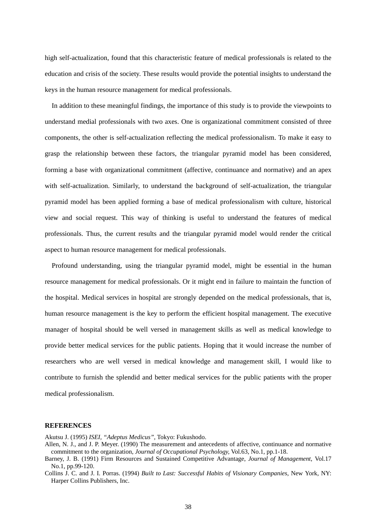high self-actualization, found that this characteristic feature of medical professionals is related to the education and crisis of the society. These results would provide the potential insights to understand the keys in the human resource management for medical professionals.

In addition to these meaningful findings, the importance of this study is to provide the viewpoints to understand medial professionals with two axes. One is organizational commitment consisted of three components, the other is self-actualization reflecting the medical professionalism. To make it easy to grasp the relationship between these factors, the triangular pyramid model has been considered, forming a base with organizational commitment (affective, continuance and normative) and an apex with self-actualization. Similarly, to understand the background of self-actualization, the triangular pyramid model has been applied forming a base of medical professionalism with culture, historical view and social request. This way of thinking is useful to understand the features of medical professionals. Thus, the current results and the triangular pyramid model would render the critical aspect to human resource management for medical professionals.

Profound understanding, using the triangular pyramid model, might be essential in the human resource management for medical professionals. Or it might end in failure to maintain the function of the hospital. Medical services in hospital are strongly depended on the medical professionals, that is, human resource management is the key to perform the efficient hospital management. The executive manager of hospital should be well versed in management skills as well as medical knowledge to provide better medical services for the public patients. Hoping that it would increase the number of researchers who are well versed in medical knowledge and management skill, I would like to contribute to furnish the splendid and better medical services for the public patients with the proper medical professionalism.

#### **REFERENCES**

Akutsu J. (1995) *ISEI, "Adeptus Medicus",* Tokyo: Fukushodo.

- Allen, N. J., and J. P. Meyer. (1990) The measurement and antecedents of affective, continuance and normative commitment to the organization, *Journal of Occupational Psychology,* Vol.63, No.1, pp.1-18.
- Barney, J. B. (1991) Firm Resources and Sustained Competitive Advantage, *Journal of Management*, Vol.17 No.1, pp.99-120.
- Collins J. C. and J. I. Porras. (1994) *Built to Last: Successful Habits of Visionary Companies*, New York, NY: Harper Collins Publishers, Inc.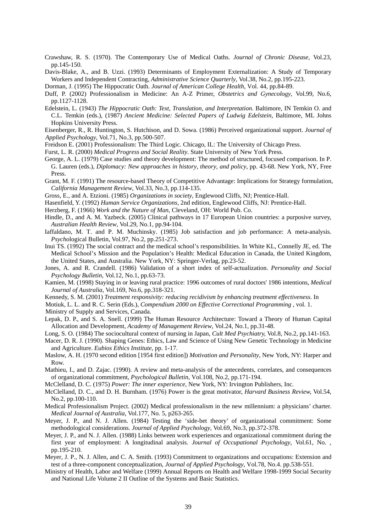- Crawshaw, R. S. (1970). The Contemporary Use of Medical Oaths. *Journal of Chronic Disease*, Vol.23, pp.145-150.
- Davis-Blake, A., and B. Uzzi. (1993) Determinants of Employment Externalization: A Study of Temporary Workers and Independent Contracting, *Administrative Science Quarterly*, Vol.38, No.2, pp.195-223.
- Dorman, J. (1995) The Hippocratic Oath. *Journal of American College Health*, Vol. 44, pp.84-89.
- Duff, P. (2002) Professionalism in Medicine: An A-Z Primer, *Obstetrics and Gynecology*, Vol.99, No.6, pp.1127-1128.
- Edelstein, L. (1943) *The Hippocratic Oath: Text, Translation, and Interpretation*. Baltimore, IN Temkin O. and C.L. Temkin (eds.), (1987) *Ancient Medicine: Selected Papers of Ludwig Edelstein*, Baltimore, ML Johns Hopkins University Press.
- Eisenberger, R., R. Huntington, S. Hutchison, and D. Sowa. (1986) Perceived organizational support. *Journal of Applied Psychology*, Vol.71, No.3, pp.500-507.
- Freidson E. (2001) Professionalism: The Third Logic. Chicago, IL: The University of Chicago Press.
- Furst, L. R. (2000) *Medical Progress and Social Reality*. State University of New York Press.
- George, A. L. (1979) Case studies and theory development: The method of structured, focused comparison. In P. G. Lauren (eds.), *Diplomacy: New approaches in history, theory, and policy*, pp. 43-68. New York, NY, Free Press.
- Grant, M. F. (1991) The resource-based Theory of Competitive Advantage: Implications for Strategy formulation, *California Management Review*, Vol.33, No.3, pp.114-135.
- Gross, E., and A. Etzioni. (1985) *Organizations in society*, Englewood Cliffs, NJ; Prentice-Hall.
- Hasenfield, Y. (1992) *Human Service Organizations*, 2nd edition, Englewood Cliffs, NJ: Prentice-Hall.
- Herzberg, F. (1966) *Work and the Nature of Man*, Cleveland, OH: World Pub. Co.
- Hindle, D., and A. M. Yazbeck. (2005) Clinical pathways in 17 European Union countries: a purposive survey, *Australian Health Review*, Vol.29, No.1, pp.94-104.
- Iaffaldano, M. T. and P. M. Muchinsky. (1985) Job satisfaction and job performance: A meta-analysis. *Psycho*logical Bulletin, Vol.97, No.2, pp.251-273.
- Inui TS. (1992) The social contract and the medical school's responsibilities. In White KL, Connelly JE, ed. The Medical School's Mission and the Population's Health: Medical Education in Canada, the United Kingdom, the United States, and Australia. New York, NY: Springer-Verlag, pp.23-52.
- Jones, A. and R. Crandell. (1986) Validation of a short index of self-actualization. *Personality and Social Psychology Bulletin*, Vol.12, No.1, pp.63-73.
- Kamien, M. (1998) Staying in or leaving rural practice: 1996 outcomes of rural doctors' 1986 intentions, *Medical Journal of Australia*, Vol.169, No.6, pp.318-321.
- Kennedy, S. M. (2001) *Treatment responsivity: reducing recidivism by enhancing treatment effectiveness*. In
- Motiuk, L. L. and R. C. Serin (Eds.), *Compendium 2000 on Effective Correctional Programming* , vol. 1.

Ministry of Supply and Services, Canada.

- Lepak, D. P., and S. A. Snell. (1999) The Human Resource Architecture: Toward a Theory of Human Capital Allocation and Development, *Academy of Management Review*, Vol.24, No.1, pp.31-48.
- Long, S. O. (1984) The sociocultural context of nursing in Japan, *Cult Med Psychiatry,* Vol.8, No.2, pp.141-163.
- Macer, D. R. J. (1990). Shaping Genes: Ethics, Law and Science of Using New Genetic Technology in Medicine and Agriculture. *Eubios Ethics Institute*, pp. 1-17.
- Maslow, A. H. (1970 second edition [1954 first edition]) *Motivation and Personality*, New York, NY: Harper and Row.
- Mathieu, I., and D. Zajac. (1990). A review and meta-analysis of the antecedents, correlates, and consequences of organizational commitment, *Psychological Bulletin*, Vol.108, No.2, pp.171-194.
- McClelland, D. C. (1975) *Power: The inner experience,* New York, NY: Irvington Publishers, Inc.
- McClelland, D. C., and D. H. Burnham. (1976) Power is the great motivator, *Harvard Business Review,* Vol.54, No.2, pp.100-110.
- Medical Professionalism Project. (2002) Medical professionalism in the new millennium: a physicians' charter. *Medical Journal of Australia*, Vol.177, No. 5, p263-265.
- Meyer, J. P., and N. J. Allen. (1984) Testing the 'side-bet theory' of organizational commitment: Some methodological considerations. *Journal of Applied Psychology*, Vol.69, No.3, pp.372-378.
- Meyer, J. P., and N. J. Allen. (1988) Links between work experiences and organizational commitment during the first year of employment: A longitudinal analysis. *Journal of Occupational Psychology*, Vol.61, No. , pp.195-210.
- Meyer, J. P., N. J. Allen, and C. A. Smith. (1993) Commitment to organizations and occupations: Extension and test of a three-component conceptualization, *Journal of Applied Psychology*, Vol.78, No.4. pp.538-551.
- Ministry of Health, Labor and Welfare (1999) Annual Reports on Health and Welfare 1998-1999 Social Security and National Life Volume 2 II Outline of the Systems and Basic Statistics.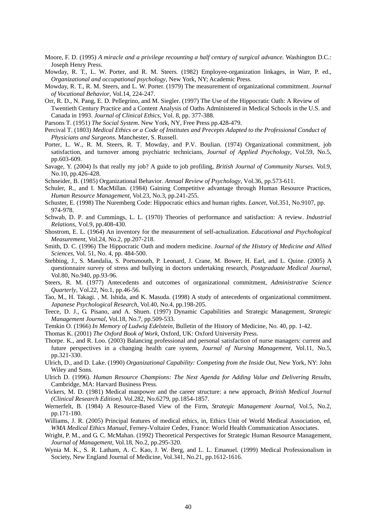- Moore, F. D. (1995) *A miracle and a privilege recounting a half century of surgical advance*. Washington D.C.: Joseph Henry Press.
- Mowday, R. T., L. W. Porter, and R. M. Steers. (1982) Employee-organization linkages, in Warr, P. ed., *Organizational and occupational psychology*, New York, NY; Academic Press.
- Mowday, R. T., R. M. Steers, and L. W. Porter. (1979) The measurement of organizational commitment. *Journal of Vocational Behavior*, Vol.14, 224-247.
- Orr, R. D., N. Pang, E. D. Pellegrino, and M. Siegler. (1997) The Use of the Hippocratic Oath: A Review of Twentieth Century Practice and a Content Analysis of Oaths Administered in Medical Schools in the U.S. and Canada in 1993. *Journal of Clinical Ethics*, Vol. 8, pp. 377-388.
- Parsons T. (1951) *The Social System*. New York, NY, Free Press pp.428-479.
- Percival T. (1803) *Medical Ethics or a Code of Institutes and Precepts Adapted to the Professional Conduct of Physicians and Surgeons*. Manchester, S. Russell.
- Porter, L. W., R. M. Steers, R. T. Mowday, and P.V. Boulian. (1974) Organizational commitment, job satisfaction, and turnover among psychiatric technicians, *Journal of Applied Psychology*, Vol.59, No.5, pp.603-609.
- Savage, Y. (2004) Is that really my job? A guide to job profiling, *British Journal of Community Nurses*. Vol.9, No.10, pp.426-428.
- Schneider, B. (1985) Organizational Behavior. *Annual Review of Psychology*, Vol.36, pp.573-611.
- Schuler, R., and I. MacMillan. (1984) Gaining Competitive advantage through Human Resource Practices, *Human Resource Management*, Vol.23, No.3, pp.241-255.
- Schuster, E. (1998) The Nuremberg Code: Hippocratic ethics and human rights. *Lancet*, Vol.351, No.9107, pp. 974-978.
- Schwab, D. P. and Cummings, L. L. (1970) Theories of performance and satisfaction: A review. *Industrial Relations*, Vol.9, pp.408-430.
- Shostrom, E. L. (1964) An inventory for the measurement of self-actualization. *Educational and Psychological Measurement*, Vol.24, No.2, pp.207-218.
- Smith, D. C. (1996) The Hippocratic Oath and modern medicine. *Journal of the History of Medicine and Allied Sciences*, Vol. 51, No. 4, pp. 484-500.
- Stebbing, J., S. Mandalia, S. Portsmouth, P. Leonard, J. Crane, M. Bower, H. Earl, and L. Quine. (2005) A questionnaire survey of stress and bullying in doctors undertaking research, *Postgraduate Medical Journal*, Vol.80, No.940, pp.93-96.
- Steers, R. M. (1977) Antecedents and outcomes of organizational commitment, *Administrative Science Quarterly*, Vol.22, No.1, pp.46-56.
- Tao, M., H. Takagi. , M. Ishida, and K. Masuda. (1998) A study of antecedents of organizational commitment. *Japanese Psychological Research*, Vol.40, No.4, pp.198-205.
- Teece, D. J., G. Pisano, and A. Shuen. (1997) Dynamic Capabilities and Strategic Management, *Strategic Management Journal*, Vol.18, No.7, pp.509-533.
- Temkin O. (1966) *In Memory of Ludwig Edelstein*, Bulletin of the History of Medicine, No. 40, pp. 1-42.
- Thomas K. (2001) *The Oxford Book of Work*, Oxford, UK: Oxford University Press.
- Thorpe. K., and R. Loo. (2003) Balancing professional and personal satisfaction of nurse managers: current and future perspectives in a changing health care system, *Journal of Nursing Management*, Vol.11, No.5, pp.321-330.
- Ulrich, D., and D. Lake. (1990) *Organizational Capability: Competing from the Inside Out*, New York, NY: John Wiley and Sons.
- Ulrich D. (1996). *Human Resource Champions: The Next Agenda for Adding Value and Delivering Results*, Cambridge, MA: Harvard Business Press.
- Vickers, M. D. (1981) Medical manpower and the career structure: a new approach, *British Medical Journal (Clinical Research Edition)*. Vol.282, No.6279, pp.1854-1857.
- Wernerfelt, B. (1984) A Resource-Based View of the Firm, *Strategic Management Journal*, Vol.5, No.2, pp.171-180.
- Williams, J. R. (2005) Principal features of medical ethics, in, Ethics Unit of World Medical Association, ed, *WMA Medical Ethics Manual*, Ferney-Voltaire Cedex, France: World Health Communication Associates.
- Wright, P. M., and G. C. McMahan. (1992) Theoretical Perspectives for Strategic Human Resource Management, *Journal of Management*, Vol.18, No.2, pp.295-320.
- Wynia M. K., S. R. Latham, A. C. Kao, J. W. Berg, and L. L. Emanuel. (1999) Medical Professionalism in Society, New England Journal of Medicine, Vol.341, No.21, pp.1612-1616.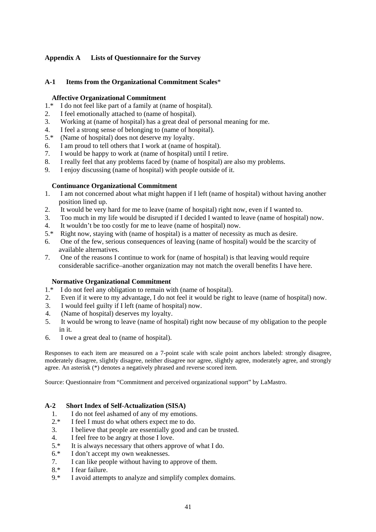## **Appendix A Lists of Questionnaire for the Survey**

## **A-1 Items from the Organizational Commitment Scales**\*

## **Affective Organizational Commitment**

- 1.\* I do not feel like part of a family at (name of hospital).
- 2. I feel emotionally attached to (name of hospital).
- 3. Working at (name of hospital) has a great deal of personal meaning for me.
- 4. I feel a strong sense of belonging to (name of hospital).
- 5.\* (Name of hospital) does not deserve my loyalty.
- 6. I am proud to tell others that I work at (name of hospital).
- 7. I would be happy to work at (name of hospital) until I retire.
- 8. I really feel that any problems faced by (name of hospital) are also my problems.
- 9. I enjoy discussing (name of hospital) with people outside of it.

## **Continuance Organizational Commitment**

- 1. I am not concerned about what might happen if I left (name of hospital) without having another position lined up.
- 2. It would be very hard for me to leave (name of hospital) right now, even if I wanted to.
- 3. Too much in my life would be disrupted if I decided I wanted to leave (name of hospital) now.
- 4. It wouldn't be too costly for me to leave (name of hospital) now.<br>5.\* Right now, staying with (name of hospital) is a matter of necessity
- 5.\* Right now, staying with (name of hospital) is a matter of necessity as much as desire.
- 6. One of the few, serious consequences of leaving (name of hospital) would be the scarcity of available alternatives.
- 7. One of the reasons I continue to work for (name of hospital) is that leaving would require considerable sacrifice–another organization may not match the overall benefits I have here.

## **Normative Organizational Commitment**

- 1.\* I do not feel any obligation to remain with (name of hospital).
- 2. Even if it were to my advantage, I do not feel it would be right to leave (name of hospital) now.
- 3. I would feel guilty if I left (name of hospital) now.
- 4. (Name of hospital) deserves my loyalty.
- 5. It would be wrong to leave (name of hospital) right now because of my obligation to the people in it.
- 6. I owe a great deal to (name of hospital).

Responses to each item are measured on a 7-point scale with scale point anchors labeled: strongly disagree, moderately disagree, slightly disagree, neither disagree nor agree, slightly agree, moderately agree, and strongly agree. An asterisk (\*) denotes a negatively phrased and reverse scored item.

Source: Questionnaire from "Commitment and perceived organizational support" by LaMastro.

## **A-2 Short Index of Self-Actualization (SISA)**

- 1. I do not feel ashamed of any of my emotions.<br> $2 *$  I feel I must do what others expect me to do.
- I feel I must do what others expect me to do.
- 3. I believe that people are essentially good and can be trusted.
- 4. I feel free to be angry at those I love.
- 5.\* It is always necessary that others approve of what I do.
- 6.\* I don't accept my own weaknesses.
- 7. I can like people without having to approve of them.
- 8.\* I fear failure.
- 9.\* I avoid attempts to analyze and simplify complex domains.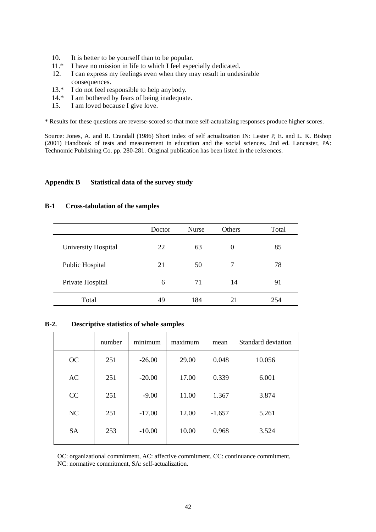- 10. It is better to be yourself than to be popular.
- 11.\* I have no mission in life to which I feel especially dedicated.
- 12. I can express my feelings even when they may result in undesirable consequences.
- 13.\* I do not feel responsible to help anybody.
- 14.\* I am bothered by fears of being inadequate.
- 15. I am loved because I give love.

\* Results for these questions are reverse-scored so that more self-actualizing responses produce higher scores.

Source: Jones, A. and R. Crandall (1986) Short index of self actualization IN: Lester P, E. and L. K. Bishop (2001) Handbook of tests and measurement in education and the social sciences. 2nd ed. Lancaster, PA: Technomic Publishing Co. pp. 280-281. Original publication has been listed in the references.

#### **Appendix B Statistical data of the survey study**

#### **B-1 Cross-tabulation of the samples**

|                     | Doctor | <b>Nurse</b> | <b>Others</b> | Total |
|---------------------|--------|--------------|---------------|-------|
| University Hospital | 22     | 63           | $\Omega$      | 85    |
| Public Hospital     | 21     | 50           | 7             | 78    |
| Private Hospital    | 6      | 71           | 14            | 91    |
| Total               | 49     | 184          | 21            | 254   |

#### **B-2. Descriptive statistics of whole samples**

|           | number | minimum  | maximum | mean     | Standard deviation |
|-----------|--------|----------|---------|----------|--------------------|
| <b>OC</b> | 251    | $-26.00$ | 29.00   | 0.048    | 10.056             |
| AC        | 251    | $-20.00$ | 17.00   | 0.339    | 6.001              |
| CC        | 251    | $-9.00$  | 11.00   | 1.367    | 3.874              |
| NC        | 251    | $-17.00$ | 12.00   | $-1.657$ | 5.261              |
| <b>SA</b> | 253    | $-10.00$ | 10.00   | 0.968    | 3.524              |

OC: organizational commitment, AC: affective commitment, CC: continuance commitment,

NC: normative commitment, SA: self-actualization.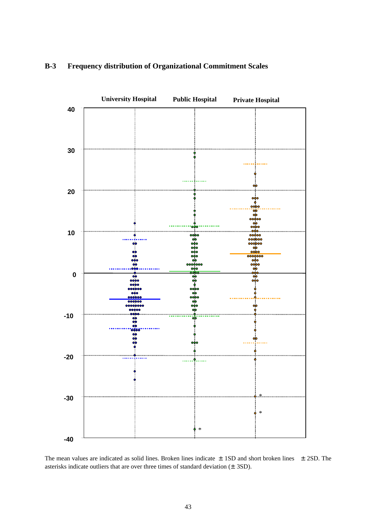

## **B-3 Frequency distribution of Organizational Commitment Scales**

The mean values are indicated as solid lines. Broken lines indicate  $\pm$  1SD and short broken lines  $\pm$  2SD. The asterisks indicate outliers that are over three times of standard deviation  $(\pm 3SD)$ .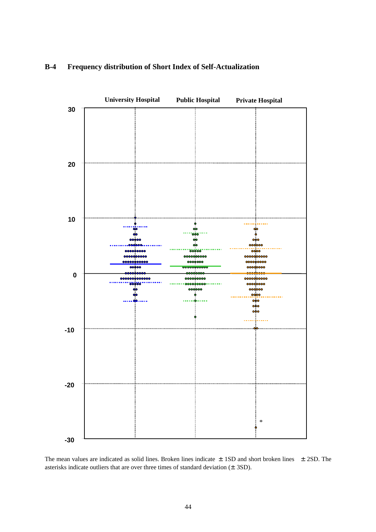

## **B-4 Frequency distribution of Short Index of Self-Actualization**

The mean values are indicated as solid lines. Broken lines indicate  $\pm$  1SD and short broken lines  $\pm$  2SD. The asterisks indicate outliers that are over three times of standard deviation  $(\pm 3SD)$ .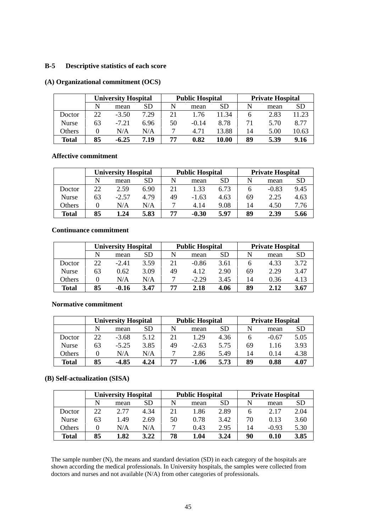## **B-5 Descriptive statistics of each score**

#### **(A) Organizational commitment (OCS)**

|              | <b>University Hospital</b> |         |      | <b>Public Hospital</b> |         |       | <b>Private Hospital</b> |      |       |
|--------------|----------------------------|---------|------|------------------------|---------|-------|-------------------------|------|-------|
|              | N                          | mean    | SD   | N                      | mean    | SD    | N                       | mean | SD    |
| Doctor       | 22                         | $-3.50$ | 7.29 | 21                     | 1.76    | 11.34 | b                       | 2.83 | 11.23 |
| Nurse        | 63                         | $-7.21$ | 6.96 | 50                     | $-0.14$ | 8.78  | 71                      | 5.70 | 8.77  |
| Others       |                            | N/A     | N/A  |                        | 4.71    | 13.88 | 14                      | 5.00 | 10.63 |
| <b>Total</b> | 85                         | $-6.25$ | 7.19 | 77                     | 0.82    | 10.00 | 89                      | 5.39 | 9.16  |

#### **Affective commitment**

|              | <b>University Hospital</b> |         |      | <b>Public Hospital</b> |         |           | <b>Private Hospital</b> |         |           |
|--------------|----------------------------|---------|------|------------------------|---------|-----------|-------------------------|---------|-----------|
|              | N                          | mean    | SD   | N                      | mean    | <b>SD</b> | N                       | mean    | <b>SD</b> |
| Doctor       | 22                         | 2.59    | 6.90 | 21                     | 1.33    | 6.73      | h                       | $-0.83$ | 9.45      |
| <b>Nurse</b> | 63                         | $-2.57$ | 4.79 | 49                     | $-1.63$ | 4.63      | 69                      | 2.25    | 4.63      |
| Others       |                            | N/A     | N/A  | ⇁                      | 4.14    | 9.08      | 14                      | 4.50    | 7.76      |
| <b>Total</b> | 85                         | .24     | 5.83 | 77                     | $-0.30$ | 5.97      | 89                      | 2.39    | 5.66      |

## **Continuance commitment**

|              | <b>University Hospital</b> |         |           | <b>Public Hospital</b> |         |           | <b>Private Hospital</b> |      |           |
|--------------|----------------------------|---------|-----------|------------------------|---------|-----------|-------------------------|------|-----------|
|              | N                          | mean    | <b>SD</b> | N                      | mean    | <b>SD</b> | N                       | mean | <b>SD</b> |
| Doctor       | 22                         | $-2.41$ | 3.59      | 21                     | $-0.86$ | 3.61      | h                       | 4.33 | 3.72      |
| Nurse        | 63                         | 0.62    | 3.09      | 49                     | 4.12    | 2.90      | 69                      | 2.29 | 3.47      |
| Others       |                            | N/A     | N/A       |                        | $-2.29$ | 3.45      | 14                      | 0.36 | 4.13      |
| <b>Total</b> | 85                         | $-0.16$ | 3.47      | 77                     | 2.18    | 4.06      | 89                      | 2.12 | 3.67      |

## **Normative commitment**

|              | <b>University Hospital</b> |         |           | <b>Public Hospital</b> |         |           | <b>Private Hospital</b> |         |      |
|--------------|----------------------------|---------|-----------|------------------------|---------|-----------|-------------------------|---------|------|
|              | N                          | mean    | <b>SD</b> | N                      | mean    | <b>SD</b> | N                       | mean    | SD   |
| Doctor       | 22                         | $-3.68$ | 5.12      | 21                     | 1.29    | 4.36      |                         | $-0.67$ | 5.05 |
| Nurse        | 63                         | $-5.25$ | 3.85      | 49                     | $-2.63$ | 5.75      | 69                      | .16     | 3.93 |
| Others       |                            | N/A     | N/A       | −                      | 2.86    | 5.49      | 14                      | 0.14    | 4.38 |
| <b>Total</b> | 85                         | -4.85   | 4.24      | 77                     | $-1.06$ | 5.73      | 89                      | 0.88    | 4.07 |

## **(B) Self-actualization (SISA)**

|              | <b>University Hospital</b> |      |           | <b>Public Hospital</b> |      |           | <b>Private Hospital</b> |         |           |
|--------------|----------------------------|------|-----------|------------------------|------|-----------|-------------------------|---------|-----------|
|              | N                          | mean | <b>SD</b> | N                      | mean | <b>SD</b> | N                       | mean    | <b>SD</b> |
| Doctor       | 22                         | 2.77 | 4.34      | 21                     | '.86 | 2.89      | h                       | 2.17    | 2.04      |
| <b>Nurse</b> | 63                         | .49  | 2.69      | 50                     | 0.78 | 3.42      | 70                      | 0.13    | 3.60      |
| Others       |                            | N/A  | N/A       | −                      | 0.43 | 2.95      | 14                      | $-0.93$ | 5.30      |
| Total        | 85                         | 1,82 | 3.22      | 78                     | 1.04 | 3.24      | 90                      | 0.10    | 3.85      |

The sample number (N), the means and standard deviation (SD) in each category of the hospitals are shown according the medical professionals. In University hospitals, the samples were collected from doctors and nurses and not available (N/A) from other categories of professionals.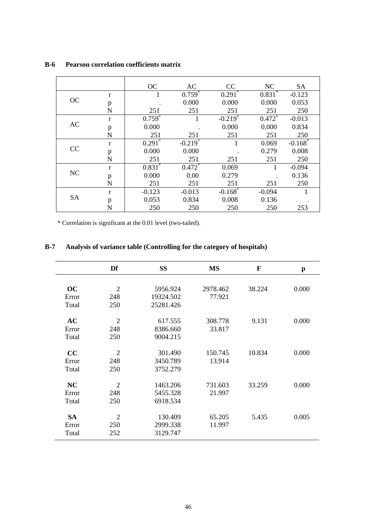|           |   | OC                   | AC                   | CC                    | NC                   | <b>SA</b>             |
|-----------|---|----------------------|----------------------|-----------------------|----------------------|-----------------------|
|           | r | $\mathbf{I}$         | $0.759^{*}$          | $0.291$ <sup>*</sup>  | $0.831$ <sup>*</sup> | $-0.123$              |
| OC        | p |                      | 0.000                | 0.000                 | 0.000                | 0.053                 |
|           | N | 251                  | 251                  | 251                   | 251                  | 250                   |
|           | r | $0.759$ <sup>*</sup> | 1                    | $-0.219$ <sup>*</sup> | $0.472$ <sup>*</sup> | $-0.013$              |
| AC        | p | 0.000                |                      | 0.000                 | 0.000                | 0.834                 |
|           | N | 251                  | 251                  | 251                   | 251                  | 250                   |
|           | r | $0.291^{*}$          | $-0.219*$            |                       | 0.069                | $-0.168$ <sup>*</sup> |
| CC        | p | 0.000                | 0.000                |                       | 0.279                | 0.008                 |
|           | N | 251                  | 251                  | 251                   | 251                  | 250                   |
|           | r | $0.831$ <sup>*</sup> | $0.472$ <sup>*</sup> | 0.069                 | 1                    | $-0.094$              |
| NC        | p | 0.000                | 0.00                 | 0.279                 |                      | 0.136                 |
|           | N | 251                  | 251                  | 251                   | 251                  | 250                   |
|           | r | $-0.123$             | $-0.013$             | $-0.168$ <sup>*</sup> | $-0.094$             | 1                     |
| <b>SA</b> | p | 0.053                | 0.834                | 0.008                 | 0.136                |                       |
|           | N | 250                  | 250                  | 250                   | 250                  | 253                   |

## **B-6 Pearson correlation coefficients matrix**

\* Correlation is significant at the 0.01 level (two-tailed).

|           | Df             | <b>SS</b> | <b>MS</b> | $\mathbf{F}$ | p     |
|-----------|----------------|-----------|-----------|--------------|-------|
|           |                |           |           |              |       |
| OC        | $\overline{2}$ | 5956.924  | 2978.462  | 38.224       | 0.000 |
| Error     | 248            | 19324.502 | 77.921    |              |       |
| Total     | 250            | 25281.426 |           |              |       |
| AC        | $\overline{2}$ | 617.555   | 308.778   | 9.131        | 0.000 |
| Error     | 248            | 8386.660  | 33.817    |              |       |
| Total     | 250            | 9004.215  |           |              |       |
| CC        | $\overline{2}$ | 301.490   | 150.745   | 10.834       | 0.000 |
| Error     | 248            | 3450.789  | 13.914    |              |       |
| Total     | 250            | 3752.279  |           |              |       |
| <b>NC</b> | $\overline{2}$ | 1463.206  | 731.603   | 33.259       | 0.000 |
| Error     | 248            | 5455.328  | 21.997    |              |       |
| Total     | 250            | 6918.534  |           |              |       |
| <b>SA</b> | $\overline{2}$ | 130.409   | 65.205    | 5.435        | 0.005 |
| Error     | 250            | 2999.338  | 11.997    |              |       |
| Total     | 252            | 3129.747  |           |              |       |

## **B-7 Analysis of variance table (Controlling for the category of hospitals)**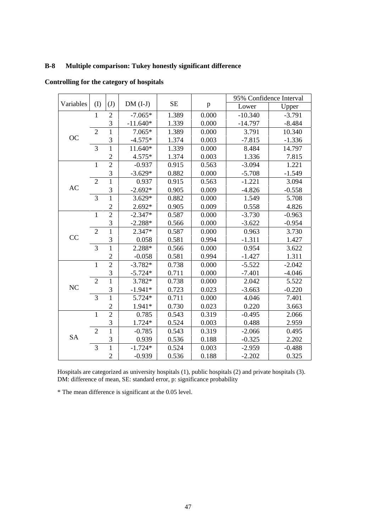## **B-8 Multiple comparison: Tukey honestly significant difference**

|           |                |                |            |           |              | 95% Confidence Interval |          |
|-----------|----------------|----------------|------------|-----------|--------------|-------------------------|----------|
| Variables | (I)            | (J)            | $DM (I-J)$ | <b>SE</b> | $\mathbf{p}$ | Lower                   | Upper    |
|           | $\mathbf{1}$   | $\overline{2}$ | $-7.065*$  | 1.389     | 0.000        | $-10.340$               | $-3.791$ |
|           |                | 3              | $-11.640*$ | 1.339     | 0.000        | $-14.797$               | $-8.484$ |
|           | $\overline{2}$ | $\mathbf{1}$   | 7.065*     | 1.389     | 0.000        | 3.791                   | 10.340   |
| <b>OC</b> |                | 3              | $-4.575*$  | 1.374     | 0.003        | $-7.815$                | $-1.336$ |
|           | 3              | $\mathbf{1}$   | 11.640*    | 1.339     | 0.000        | 8.484                   | 14.797   |
|           |                | $\overline{c}$ | 4.575*     | 1.374     | 0.003        | 1.336                   | 7.815    |
|           | $\mathbf{1}$   | $\overline{2}$ | $-0.937$   | 0.915     | 0.563        | $-3.094$                | 1.221    |
|           |                | 3              | $-3.629*$  | 0.882     | 0.000        | $-5.708$                | $-1.549$ |
|           | $\overline{2}$ | $\mathbf{1}$   | 0.937      | 0.915     | 0.563        | $-1.221$                | 3.094    |
| AC        |                | 3              | $-2.692*$  | 0.905     | 0.009        | $-4.826$                | $-0.558$ |
|           | 3              | $\mathbf{1}$   | $3.629*$   | 0.882     | 0.000        | 1.549                   | 5.708    |
|           |                | $\overline{c}$ | $2.692*$   | 0.905     | 0.009        | 0.558                   | 4.826    |
|           | $\mathbf{1}$   | $\overline{2}$ | $-2.347*$  | 0.587     | 0.000        | $-3.730$                | $-0.963$ |
|           |                | 3              | $-2.288*$  | 0.566     | 0.000        | $-3.622$                | $-0.954$ |
|           | $\overline{2}$ | $\mathbf{1}$   | 2.347*     | 0.587     | 0.000        | 0.963                   | 3.730    |
| CC        |                | 3              | 0.058      | 0.581     | 0.994        | $-1.311$                | 1.427    |
|           | 3              | $\mathbf{1}$   | 2.288*     | 0.566     | 0.000        | 0.954                   | 3.622    |
|           |                | $\overline{2}$ | $-0.058$   | 0.581     | 0.994        | $-1.427$                | 1.311    |
|           | $\mathbf{1}$   | $\overline{2}$ | $-3.782*$  | 0.738     | 0.000        | $-5.522$                | $-2.042$ |
|           |                | 3              | $-5.724*$  | 0.711     | 0.000        | $-7.401$                | $-4.046$ |
|           | $\overline{2}$ | $\mathbf{1}$   | 3.782*     | 0.738     | 0.000        | 2.042                   | 5.522    |
| NC        |                | 3              | $-1.941*$  | 0.723     | 0.023        | $-3.663$                | $-0.220$ |
|           | 3              | $\mathbf{1}$   | 5.724*     | 0.711     | 0.000        | 4.046                   | 7.401    |
|           |                | $\overline{2}$ | 1.941*     | 0.730     | 0.023        | 0.220                   | 3.663    |
|           | $\mathbf{1}$   | $\overline{2}$ | 0.785      | 0.543     | 0.319        | $-0.495$                | 2.066    |
|           |                | 3              | 1.724*     | 0.524     | 0.003        | 0.488                   | 2.959    |
|           | $\overline{2}$ | $\mathbf 1$    | $-0.785$   | 0.543     | 0.319        | $-2.066$                | 0.495    |
| <b>SA</b> |                | 3              | 0.939      | 0.536     | 0.188        | $-0.325$                | 2.202    |
|           | 3              | $\mathbf{1}$   | $-1.724*$  | 0.524     | 0.003        | $-2.959$                | $-0.488$ |
|           |                | $\overline{2}$ | $-0.939$   | 0.536     | 0.188        | $-2.202$                | 0.325    |

**Controlling for the category of hospitals** 

Hospitals are categorized as university hospitals (1), public hospitals (2) and private hospitals (3). DM: difference of mean, SE: standard error, p: significance probability

\* The mean difference is significant at the 0.05 level.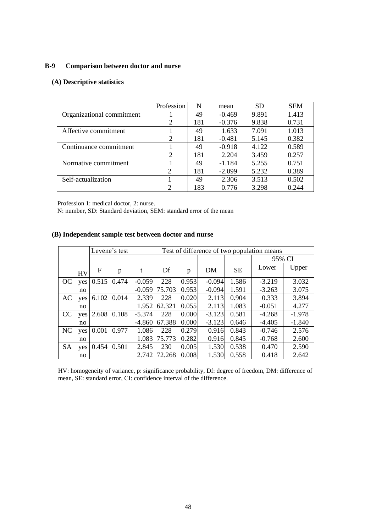## **B-9 Comparison between doctor and nurse**

## **(A) Descriptive statistics**

|                           | Profession     | N   | mean     | <b>SD</b> | <b>SEM</b> |
|---------------------------|----------------|-----|----------|-----------|------------|
| Organizational commitment |                | 49  | $-0.469$ | 9.891     | 1.413      |
|                           | 2              | 181 | $-0.376$ | 9.838     | 0.731      |
| Affective commitment      |                | 49  | 1.633    | 7.091     | 1.013      |
|                           | $\overline{2}$ | 181 | $-0.481$ | 5.145     | 0.382      |
| Continuance commitment    |                | 49  | $-0.918$ | 4.122     | 0.589      |
|                           | 2              | 181 | 2.204    | 3.459     | 0.257      |
| Normative commitment      |                | 49  | $-1.184$ | 5.255     | 0.751      |
|                           | $\overline{c}$ | 181 | $-2.099$ | 5.232     | 0.389      |
| Self-actualization        |                | 49  | 2.306    | 3.513     | 0.502      |
|                           | $\mathcal{D}$  | 183 | 0.776    | 3.298     | 0.244      |

Profession 1: medical doctor, 2: nurse.

N: number, SD: Standard deviation, SEM: standard error of the mean

## **(B) Independent sample test between doctor and nurse**

|           |           |                 | Levene's test |          | Test of difference of two population means |       |          |           |          |          |
|-----------|-----------|-----------------|---------------|----------|--------------------------------------------|-------|----------|-----------|----------|----------|
|           |           |                 |               |          |                                            |       |          |           | 95% CI   |          |
|           | <b>HV</b> | F               | p             | t        | Df                                         | p     | DM       | <b>SE</b> | Lower    | Upper    |
| OC.       |           | yes 0.515 0.474 |               | $-0.059$ | 228                                        | 0.953 | $-0.094$ | 1.586     | $-3.219$ | 3.032    |
|           | no        |                 |               | $-0.059$ | 75.703                                     | 0.953 | $-0.094$ | 1.591     | $-3.263$ | 3.075    |
| AC        | yes       |                 | 6.102 0.014   | 2.339    | 228                                        | 0.020 | 2.113    | 0.904     | 0.333    | 3.894    |
|           | no        |                 |               | 1.952    | 62.321                                     | 0.055 | 2.113    | 1.083     | $-0.051$ | 4.277    |
| CC        | yes       | 2.608           | 0.108         | $-5.374$ | 228                                        | 0.000 | $-3.123$ | 0.581     | $-4.268$ | $-1.978$ |
|           | no        |                 |               | $-4.860$ | 67.388                                     | 0.000 | $-3.123$ | 0.646     | $-4.405$ | $-1.840$ |
| NC        | ves       | 0.001           | 0.977         | 1.086    | 228                                        | 0.279 | 0.916    | 0.843     | $-0.746$ | 2.576    |
|           | no        |                 |               | 1.083    | 75.773                                     | 0.282 | 0.916    | 0.845     | $-0.768$ | 2.600    |
| <b>SA</b> | yes       | 0.454           | 0.501         | 2.845    | 230                                        | 0.005 | 1.530    | 0.538     | 0.470    | 2.590    |
|           | no        |                 |               | 2.742    | 72.268                                     | 0.008 | 1.530    | 0.558     | 0.418    | 2.642    |

HV: homogeneity of variance, p: significance probability, Df: degree of freedom, DM: difference of mean, SE: standard error, CI: confidence interval of the difference.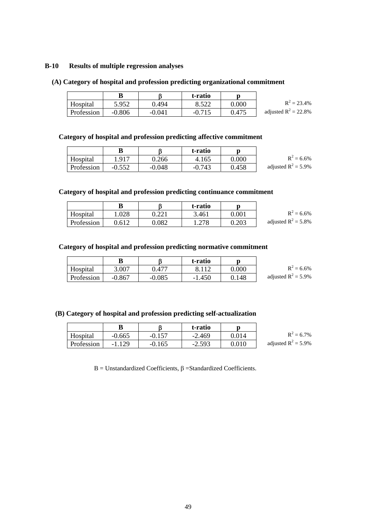#### **B-10 Results of multiple regression analyses**

## **(A) Category of hospital and profession predicting organizational commitment**

|            |          |          | t-ratio        |           |                         |
|------------|----------|----------|----------------|-----------|-------------------------|
| Hospital   | 5.952    | 0.494    | ० ८११<br>0.JZZ | $0.000\,$ | $R^2 = 23.4\%$          |
| Profession | $-0.806$ | $-0.041$ | $-0.715$       | 0.475     | adjusted $R^2 = 22.8\%$ |

## **Category of hospital and profession predicting affective commitment**

|            |          |          | t-ratio  |           |                        |
|------------|----------|----------|----------|-----------|------------------------|
| Hospital   | 1.917    | 0.266    | 4.165    | $0.000\,$ | $R^2 = 6.6\%$          |
| Profession | $-0.552$ | $-0.048$ | $-0.743$ | 0.458     | adjusted $R^2 = 5.9\%$ |

## **Category of hospital and profession predicting continuance commitment**

|            |       |                 | t-ratio |           |                        |
|------------|-------|-----------------|---------|-----------|------------------------|
| Hospital   | 1.028 | ∩ วว 1<br>9.221 | 3.461   | $0.001\,$ | $R^2 = 6.6\%$          |
| Profession | ).612 | $\rm 0.082$     | 278. ا  | 0.203     | adjusted $R^2 = 5.8\%$ |

## **Category of hospital and profession predicting normative commitment**

|            | B        |          | t-ratio  |       |                        |
|------------|----------|----------|----------|-------|------------------------|
| Hospital   | 3.007    | ).477    |          | 0.000 | $R^2 = 6.6\%$          |
| Profession | $-0.867$ | $-0.085$ | $-1.450$ | 0.148 | adjusted $R^2 = 5.9\%$ |

#### **(B) Category of hospital and profession predicting self-actualization**

|            |          |          | t-ratio  |       |                |
|------------|----------|----------|----------|-------|----------------|
| Hospital   | $-0.665$ | $-0.157$ | $-2.469$ | 0.014 | $\mathbf{D}^2$ |
| Profession | $-1.129$ | $-0.165$ | $-2.593$ | 0.010 | adjusted $R^2$ |

|                        | $R^2 = 6.7\%$ |
|------------------------|---------------|
| adjusted $R^2 = 5.9\%$ |               |

B = Unstandardized Coefficients,  $β$  = Standardized Coefficients.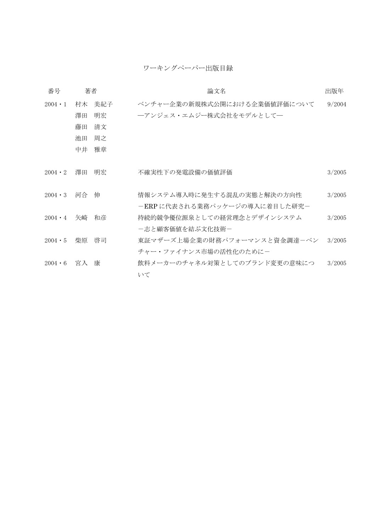## ワーキングペーパー出版目録

| 番号             | 著者 |     | 論文名                                                        | 出版年    |
|----------------|----|-----|------------------------------------------------------------|--------|
| $2004 \cdot 1$ | 村木 | 美紀子 | ベンチャー企業の新規株式公開における企業価値評価について                               | 9/2004 |
|                | 澤田 | 明宏  | ―アンジェス・エムジー株式会社をモデルとして―                                    |        |
|                | 藤田 | 清文  |                                                            |        |
|                | 池田 | 周之  |                                                            |        |
|                | 中井 | 雅章  |                                                            |        |
| $2004 \cdot 2$ | 澤田 | 明宏  | 不確実性下の発電設備の価値評価                                            | 3/2005 |
| $2004 \cdot 3$ | 河合 | 伸   | 情報システム導入時に発生する混乱の実態と解決の方向性<br>-ERPに代表される業務パッケージの導入に着目した研究- | 3/2005 |
| $2004 \cdot 4$ | 矢崎 | 和彦  | 持続的競争優位源泉としての経営理念とデザインシステム                                 | 3/2005 |
|                |    |     | -志と顧客価値を結ぶ文化技術-                                            |        |
| $2004 \cdot 5$ | 柴原 | 啓司  | 東証マザーズ上場企業の財務パフォーマンスと資金調達ーベン                               | 3/2005 |
|                |    |     | チャー・ファイナンス市場の活性化のためにー                                      |        |
| $2004 \cdot 6$ | 宮入 | 康   | 飲料メーカーのチャネル対策としてのブランド変更の意味につ                               | 3/2005 |
|                |    |     | いて                                                         |        |